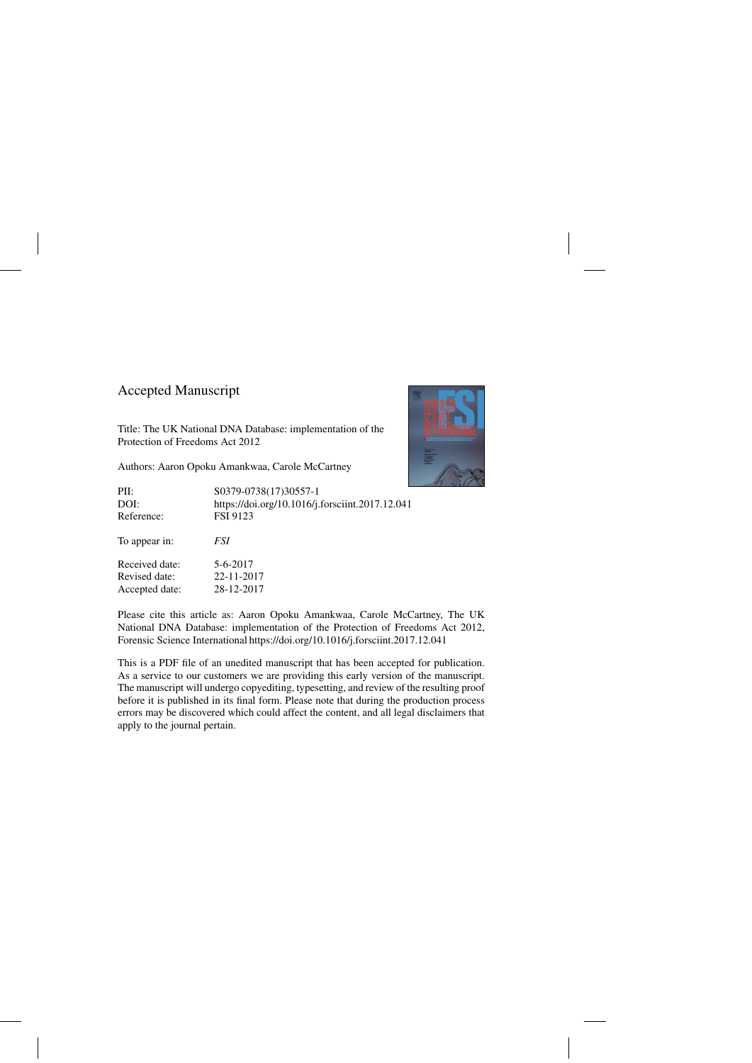# Accepted Manuscript

Title: The UK National DNA Database: implementation of the Protection of Freedoms Act 2012

Authors: Aaron Opoku Amankwaa, Carole McCartney

| PII:           | S0379-0738(17)30557-1                           |
|----------------|-------------------------------------------------|
| DOI:           | https://doi.org/10.1016/j.forsciint.2017.12.041 |
| Reference:     | <b>FSI 9123</b>                                 |
| To appear in:  | <i>FSI</i>                                      |
| Received date: | 5-6-2017                                        |
| Revised date:  | 22-11-2017                                      |
| Accepted date: | 28-12-2017                                      |

Please cite this article as: Aaron Opoku Amankwaa, Carole McCartney, The UK National DNA Database: implementation of the Protection of Freedoms Act 2012, Forensic Science International<https://doi.org/10.1016/j.forsciint.2017.12.041>

This is a PDF file of an unedited manuscript that has been accepted for publication. As a service to our customers we are providing this early version of the manuscript. The manuscript will undergo copyediting, typesetting, and review of the resulting proof before it is published in its final form. Please note that during the production process errors may be discovered which could affect the content, and all legal disclaimers that apply to the journal pertain.

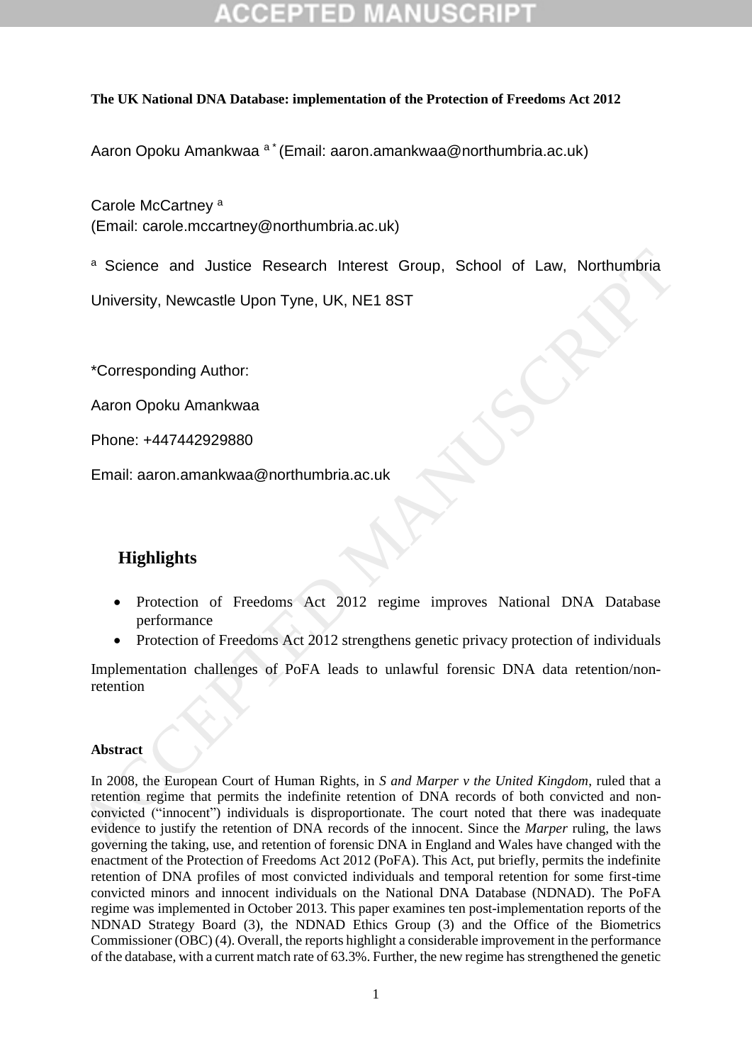### **The UK National DNA Database: implementation of the Protection of Freedoms Act 2012**

Aaron Opoku Amankwaa <sup>a \*</sup> (Email: [aaron.amankwaa@northumbria.ac.uk\)](mailto:aaron.amankwaa@northumbria.ac.uk)

Carole McCartney<sup>a</sup> (Email: [carole.mccartney@northumbria.ac.uk\)](mailto:carole.mccartney@northumbria.ac.uk)

a Science and Justice Research Interest Group, School of Law, Northumbria

University, Newcastle Upon Tyne, UK, NE1 8ST

\*Corresponding Author:

Aaron Opoku Amankwaa

Phone: +447442929880

Email: aaron.amankwaa@northumbria.ac.uk

# **Highlights**

- Protection of Freedoms Act 2012 regime improves National DNA Database performance
- Protection of Freedoms Act 2012 strengthens genetic privacy protection of individuals

Implementation challenges of PoFA leads to unlawful forensic DNA data retention/nonretention

### **Abstract**

In 2008, the European Court of Human Rights, in *S and Marper v the United Kingdom*, ruled that a retention regime that permits the indefinite retention of DNA records of both convicted and nonconvicted ("innocent") individuals is disproportionate. The court noted that there was inadequate evidence to justify the retention of DNA records of the innocent. Since the *Marper* ruling, the laws governing the taking, use, and retention of forensic DNA in England and Wales have changed with the enactment of the Protection of Freedoms Act 2012 (PoFA). This Act, put briefly, permits the indefinite retention of DNA profiles of most convicted individuals and temporal retention for some first-time convicted minors and innocent individuals on the National DNA Database (NDNAD). The PoFA regime was implemented in October 2013. This paper examines ten post-implementation reports of the NDNAD Strategy Board (3), the NDNAD Ethics Group (3) and the Office of the Biometrics Commissioner (OBC) (4). Overall, the reports highlight a considerable improvement in the performance of the database, with a current match rate of 63.3%. Further, the new regime has strengthened the genetic Face and Justice Research Interest Group, School of Law, Northumbria<br>
University, Newcastle Upon Tyne, UK, NE1 8ST<br>
<br>
Corresponding [A](mailto:aaron.amankwaa@northumbria.ac.uk)uthor:<br>
Accord Dook Amankwaa<br>
Phone: +447442929880<br>
Email: aaron.amankwaa@northumbria.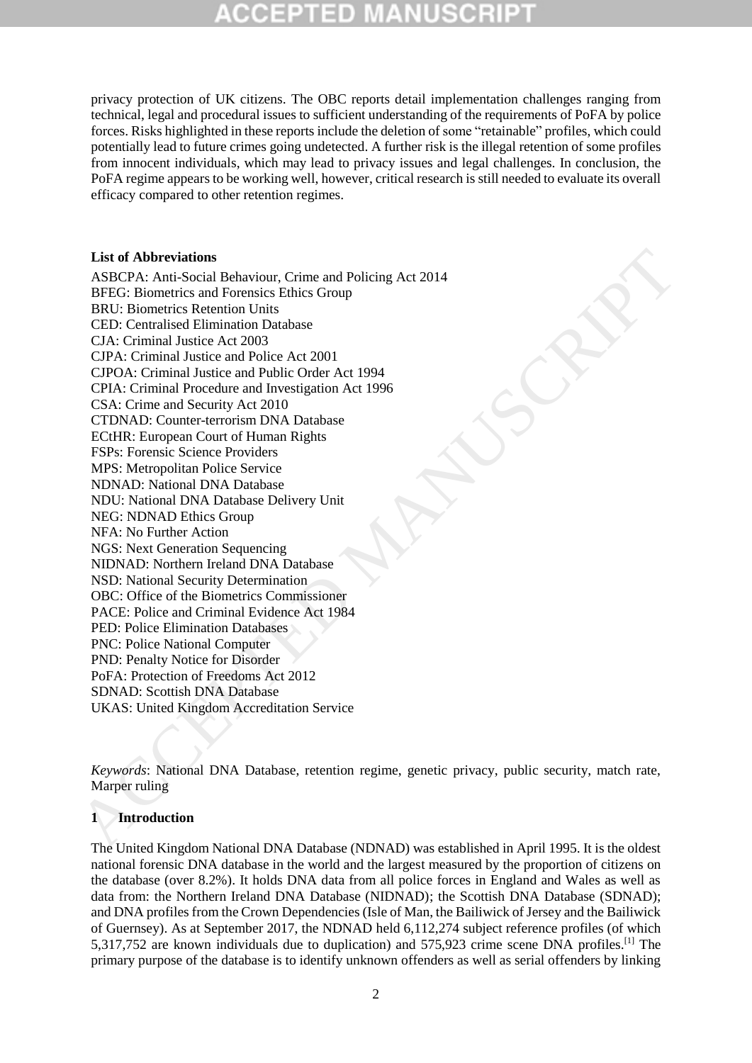privacy protection of UK citizens. The OBC reports detail implementation challenges ranging from technical, legal and procedural issues to sufficient understanding of the requirements of PoFA by police forces. Risks highlighted in these reports include the deletion of some "retainable" profiles, which could potentially lead to future crimes going undetected. A further risk is the illegal retention of some profiles from innocent individuals, which may lead to privacy issues and legal challenges. In conclusion, the PoFA regime appears to be working well, however, critical research is still needed to evaluate its overall efficacy compared to other retention regimes.

#### **List of Abbreviations**

ASBCPA: Anti-Social Behaviour, Crime and Policing Act 2014 BFEG: Biometrics and Forensics Ethics Group BRU: Biometrics Retention Units CED: Centralised Elimination Database CJA: Criminal Justice Act 2003 CJPA: Criminal Justice and Police Act 2001 CJPOA: Criminal Justice and Public Order Act 1994 CPIA: Criminal Procedure and Investigation Act 1996 CSA: Crime and Security Act 2010 CTDNAD: Counter-terrorism DNA Database ECtHR: European Court of Human Rights FSPs: Forensic Science Providers MPS: Metropolitan Police Service NDNAD: National DNA Database NDU: National DNA Database Delivery Unit NEG: NDNAD Ethics Group NFA: No Further Action NGS: Next Generation Sequencing NIDNAD: Northern Ireland DNA Database NSD: National Security Determination OBC: Office of the Biometrics Commissioner PACE: Police and Criminal Evidence Act 1984 PED: Police Elimination Databases PNC: Police National Computer PND: Penalty Notice for Disorder PoFA: Protection of Freedoms Act 2012 SDNAD: Scottish DNA Database UKAS: United Kingdom Accreditation Service List of Abbreviations<br>
and Mark Decision Behaviour, Crime and Policing Act 2014<br>
RFTCR: Biometrics Resemion Units This; Group<br>
RFCR: Biometrics Resemion Units This; Group<br>
CED: Contrained Mark Decision Act 2001<br>
CED: Contr

*Keywords*: National DNA Database, retention regime, genetic privacy, public security, match rate, Marper ruling

#### **1 Introduction**

The United Kingdom National DNA Database (NDNAD) was established in April 1995. It is the oldest national forensic DNA database in the world and the largest measured by the proportion of citizens on the database (over 8.2%). It holds DNA data from all police forces in England and Wales as well as data from: the Northern Ireland DNA Database (NIDNAD); the Scottish DNA Database (SDNAD); and DNA profiles from the Crown Dependencies (Isle of Man, the Bailiwick of Jersey and the Bailiwick of Guernsey). As at September 2017, the NDNAD held 6,112,274 subject reference profiles (of which 5,317,752 are known individuals due to duplication) and 575,923 crime scene DNA profiles.[1] The primary purpose of the database is to identify unknown offenders as well as serial offenders by linking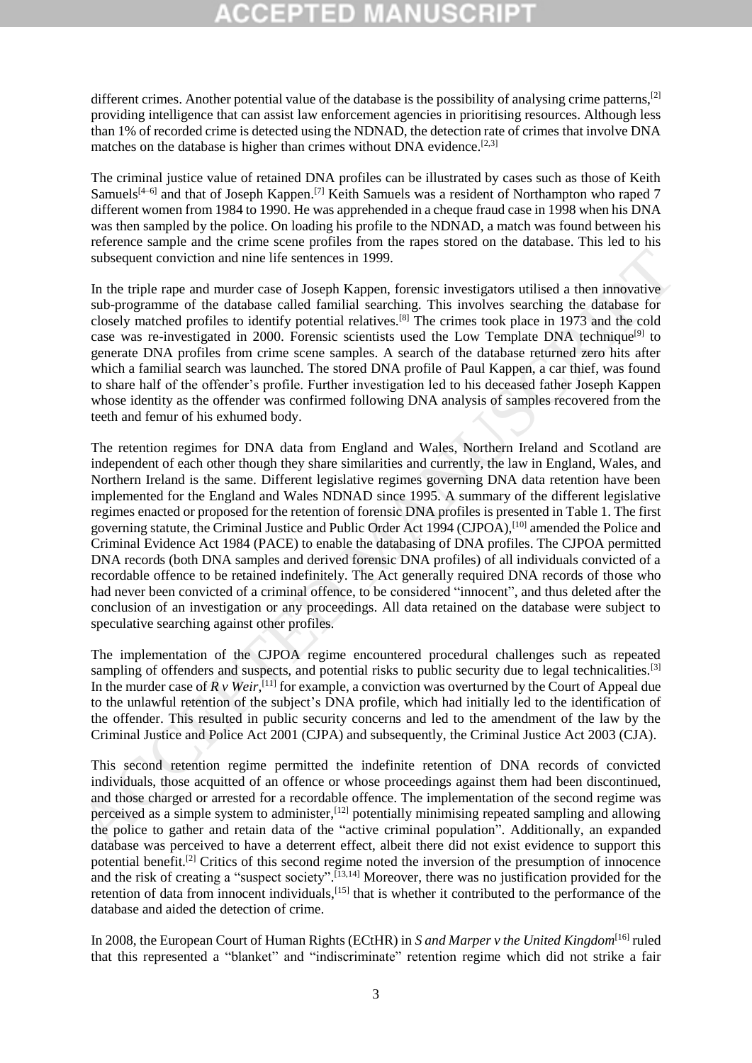different crimes. Another potential value of the database is the possibility of analysing crime patterns, $^{[2]}$ providing intelligence that can assist law enforcement agencies in prioritising resources. Although less than 1% of recorded crime is detected using the NDNAD, the detection rate of crimes that involve DNA matches on the database is higher than crimes without DNA evidence.<sup>[2,3]</sup>

The criminal justice value of retained DNA profiles can be illustrated by cases such as those of Keith Samuels<sup>[4–6]</sup> and that of Joseph Kappen.<sup>[7]</sup> Keith Samuels was a resident of Northampton who raped 7 different women from 1984 to 1990. He was apprehended in a cheque fraud case in 1998 when his DNA was then sampled by the police. On loading his profile to the NDNAD, a match was found between his reference sample and the crime scene profiles from the rapes stored on the database. This led to his subsequent conviction and nine life sentences in 1999.

In the triple rape and murder case of Joseph Kappen, forensic investigators utilised a then innovative sub-programme of the database called familial searching. This involves searching the database for closely matched profiles to identify potential relatives.[8] The crimes took place in 1973 and the cold case was re-investigated in 2000. Forensic scientists used the Low Template DNA technique<sup>[9]</sup> to generate DNA profiles from crime scene samples. A search of the database returned zero hits after which a familial search was launched. The stored DNA profile of Paul Kappen, a car thief, was found to share half of the offender's profile. Further investigation led to his deceased father Joseph Kappen whose identity as the offender was confirmed following DNA analysis of samples recovered from the teeth and femur of his exhumed body.

The retention regimes for DNA data from England and Wales, Northern Ireland and Scotland are independent of each other though they share similarities and currently, the law in England, Wales, and Northern Ireland is the same. Different legislative regimes governing DNA data retention have been implemented for the England and Wales NDNAD since 1995. A summary of the different legislative regimes enacted or proposed for the retention of forensic DNA profiles is presented in Table 1. The first governing statute, the Criminal Justice and Public Order Act 1994 (CJPOA),<sup>[10]</sup> amended the Police and Criminal Evidence Act 1984 (PACE) to enable the databasing of DNA profiles. The CJPOA permitted DNA records (both DNA samples and derived forensic DNA profiles) of all individuals convicted of a recordable offence to be retained indefinitely. The Act generally required DNA records of those who had never been convicted of a criminal offence, to be considered "innocent", and thus deleted after the conclusion of an investigation or any proceedings. All data retained on the database were subject to speculative searching against other profiles. subsequent conviction and aine life sentences in 1999.<br>In the triple rap and murder case of Joseph Kappen, forensic investigators utilised a then innovative In the triple rap and murder case of Joseph Kappen and the diven

The implementation of the CJPOA regime encountered procedural challenges such as repeated sampling of offenders and suspects, and potential risks to public security due to legal technicalities.<sup>[3]</sup> In the murder case of  $R \, v$  Weir,<sup>[11]</sup> for example, a conviction was overturned by the Court of Appeal due to the unlawful retention of the subject's DNA profile, which had initially led to the identification of the offender. This resulted in public security concerns and led to the amendment of the law by the Criminal Justice and Police Act 2001 (CJPA) and subsequently, the Criminal Justice Act 2003 (CJA).

This second retention regime permitted the indefinite retention of DNA records of convicted individuals, those acquitted of an offence or whose proceedings against them had been discontinued, and those charged or arrested for a recordable offence. The implementation of the second regime was perceived as a simple system to administer,<sup>[12]</sup> potentially minimising repeated sampling and allowing the police to gather and retain data of the "active criminal population". Additionally, an expanded database was perceived to have a deterrent effect, albeit there did not exist evidence to support this potential benefit.<sup>[2]</sup> Critics of this second regime noted the inversion of the presumption of innocence and the risk of creating a "suspect society".<sup>[13,14]</sup> Moreover, there was no justification provided for the retention of data from innocent individuals,<sup>[15]</sup> that is whether it contributed to the performance of the database and aided the detection of crime.

In 2008, the European Court of Human Rights (ECtHR) in *S and Marper v the United Kingdom*<sup>[16]</sup> ruled that this represented a "blanket" and "indiscriminate" retention regime which did not strike a fair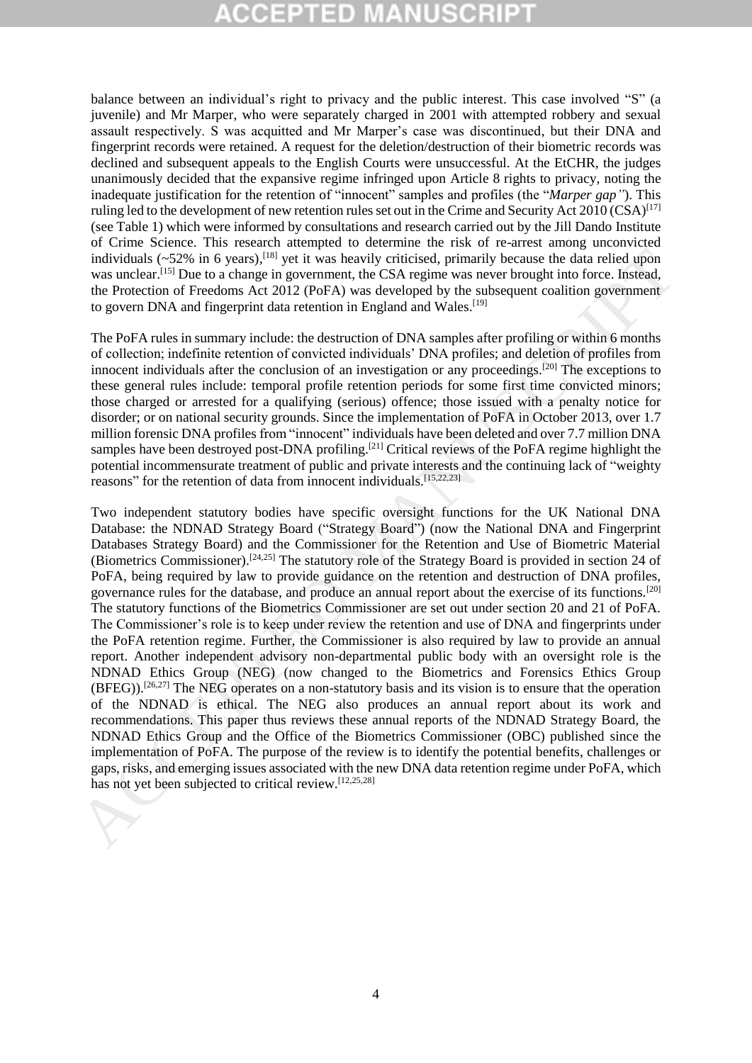balance between an individual's right to privacy and the public interest. This case involved "S" (a juvenile) and Mr Marper, who were separately charged in 2001 with attempted robbery and sexual assault respectively. S was acquitted and Mr Marper's case was discontinued, but their DNA and fingerprint records were retained. A request for the deletion/destruction of their biometric records was declined and subsequent appeals to the English Courts were unsuccessful. At the EtCHR, the judges unanimously decided that the expansive regime infringed upon Article 8 rights to privacy, noting the inadequate justification for the retention of "innocent" samples and profiles (the "*Marper gap"*). This ruling led to the development of new retention rules set out in the Crime and Security Act 2010 (CSA)<sup>[17]</sup> (see Table 1) which were informed by consultations and research carried out by the Jill Dando Institute of Crime Science. This research attempted to determine the risk of re-arrest among unconvicted individuals (~52% in 6 years),<sup>[18]</sup> yet it was heavily criticised, primarily because the data relied upon was unclear.<sup>[15]</sup> Due to a change in government, the CSA regime was never brought into force. Instead, the Protection of Freedoms Act 2012 (PoFA) was developed by the subsequent coalition government to govern DNA and fingerprint data retention in England and Wales.<sup>[19]</sup>

The PoFA rules in summary include: the destruction of DNA samples after profiling or within 6 months of collection; indefinite retention of convicted individuals' DNA profiles; and deletion of profiles from innocent individuals after the conclusion of an investigation or any proceedings.[20] The exceptions to these general rules include: temporal profile retention periods for some first time convicted minors; those charged or arrested for a qualifying (serious) offence; those issued with a penalty notice for disorder; or on national security grounds. Since the implementation of PoFA in October 2013, over 1.7 million forensic DNA profiles from "innocent" individuals have been deleted and over 7.7 million DNA samples have been destroyed post-DNA profiling.<sup>[21]</sup> Critical reviews of the PoFA regime highlight the potential incommensurate treatment of public and private interests and the continuing lack of "weighty reasons" for the retention of data from innocent individuals.<sup>[15,22,23]</sup>

Two independent statutory bodies have specific oversight functions for the UK National DNA Database: the NDNAD Strategy Board ("Strategy Board") (now the National DNA and Fingerprint Databases Strategy Board) and the Commissioner for the Retention and Use of Biometric Material (Biometrics Commissioner).[24,25] The statutory role of the Strategy Board is provided in section 24 of PoFA, being required by law to provide guidance on the retention and destruction of DNA profiles, governance rules for the database, and produce an annual report about the exercise of its functions.[20] The statutory functions of the Biometrics Commissioner are set out under section 20 and 21 of PoFA. The Commissioner's role is to keep under review the retention and use of DNA and fingerprints under the PoFA retention regime. Further, the Commissioner is also required by law to provide an annual report. Another independent advisory non-departmental public body with an oversight role is the NDNAD Ethics Group (NEG) (now changed to the Biometrics and Forensics Ethics Group  $(BFEG)$ .<sup>[26,27]</sup> The NEG operates on a non-statutory basis and its vision is to ensure that the operation of the NDNAD is ethical. The NEG also produces an annual report about its work and recommendations. This paper thus reviews these annual reports of the NDNAD Strategy Board, the NDNAD Ethics Group and the Office of the Biometrics Commissioner (OBC) published since the implementation of PoFA. The purpose of the review is to identify the potential benefits, challenges or gaps, risks, and emerging issues associated with the new DNA data retention regime under PoFA, which has not yet been subjected to critical review.<sup>[12,25,28]</sup> individuals ( $\sim$ 52% in 6 years),<sup>118</sup> sy is two showily criticated, primarily because the dat relied upon<br>notation ( $\sim$ 52% in 6 years).<sup>118</sup> year is weak to be absorption to freedom And Tore in the distribution of Predo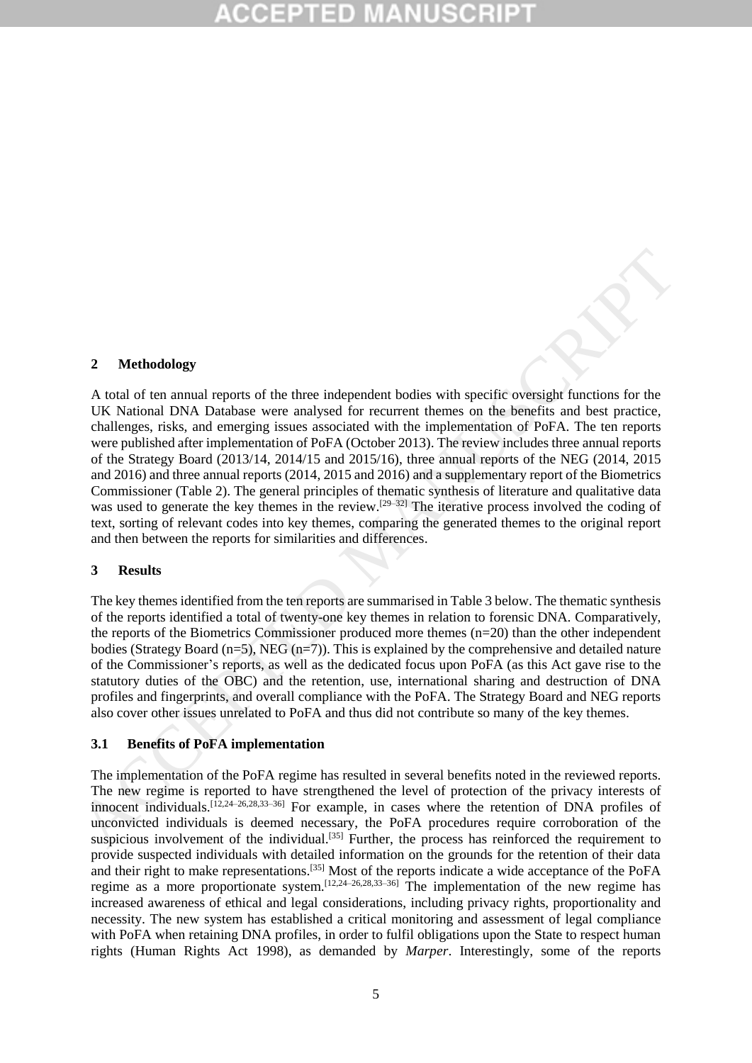#### **2 Methodology**

A total of ten annual reports of the three independent bodies with specific oversight functions for the UK National DNA Database were analysed for recurrent themes on the benefits and best practice, challenges, risks, and emerging issues associated with the implementation of PoFA. The ten reports were published after implementation of PoFA (October 2013). The review includes three annual reports of the Strategy Board (2013/14, 2014/15 and 2015/16), three annual reports of the NEG (2014, 2015 and 2016) and three annual reports (2014, 2015 and 2016) and a supplementary report of the Biometrics Commissioner (Table 2). The general principles of thematic synthesis of literature and qualitative data was used to generate the key themes in the review.<sup>[29–32]</sup> The iterative process involved the coding of text, sorting of relevant codes into key themes, comparing the generated themes to the original report and then between the reports for similarities and differences. 2 Methodology<br>
A total of ten annual reports of the three independent bastics with specific oversight functions for the UK National DNA Database were analysed for recarrent themse on the benefits and best practice,<br>
chall

#### **3 Results**

The key themes identified from the ten reports are summarised in Table 3 below. The thematic synthesis of the reports identified a total of twenty-one key themes in relation to forensic DNA. Comparatively, the reports of the Biometrics Commissioner produced more themes (n=20) than the other independent bodies (Strategy Board  $(n=5)$ , NEG  $(n=7)$ ). This is explained by the comprehensive and detailed nature of the Commissioner's reports, as well as the dedicated focus upon PoFA (as this Act gave rise to the statutory duties of the OBC) and the retention, use, international sharing and destruction of DNA profiles and fingerprints, and overall compliance with the PoFA. The Strategy Board and NEG reports also cover other issues unrelated to PoFA and thus did not contribute so many of the key themes.

#### **3.1 Benefits of PoFA implementation**

The implementation of the PoFA regime has resulted in several benefits noted in the reviewed reports. The new regime is reported to have strengthened the level of protection of the privacy interests of innocent individuals.[12,24–26,28,33–36] For example, in cases where the retention of DNA profiles of unconvicted individuals is deemed necessary, the PoFA procedures require corroboration of the suspicious involvement of the individual.<sup>[35]</sup> Further, the process has reinforced the requirement to provide suspected individuals with detailed information on the grounds for the retention of their data and their right to make representations.<sup>[35]</sup> Most of the reports indicate a wide acceptance of the PoFA regime as a more proportionate system.<sup>[12,24–26,28,33–36]</sup> The implementation of the new regime has increased awareness of ethical and legal considerations, including privacy rights, proportionality and necessity. The new system has established a critical monitoring and assessment of legal compliance with PoFA when retaining DNA profiles, in order to fulfil obligations upon the State to respect human rights (Human Rights Act 1998), as demanded by *Marper*. Interestingly, some of the reports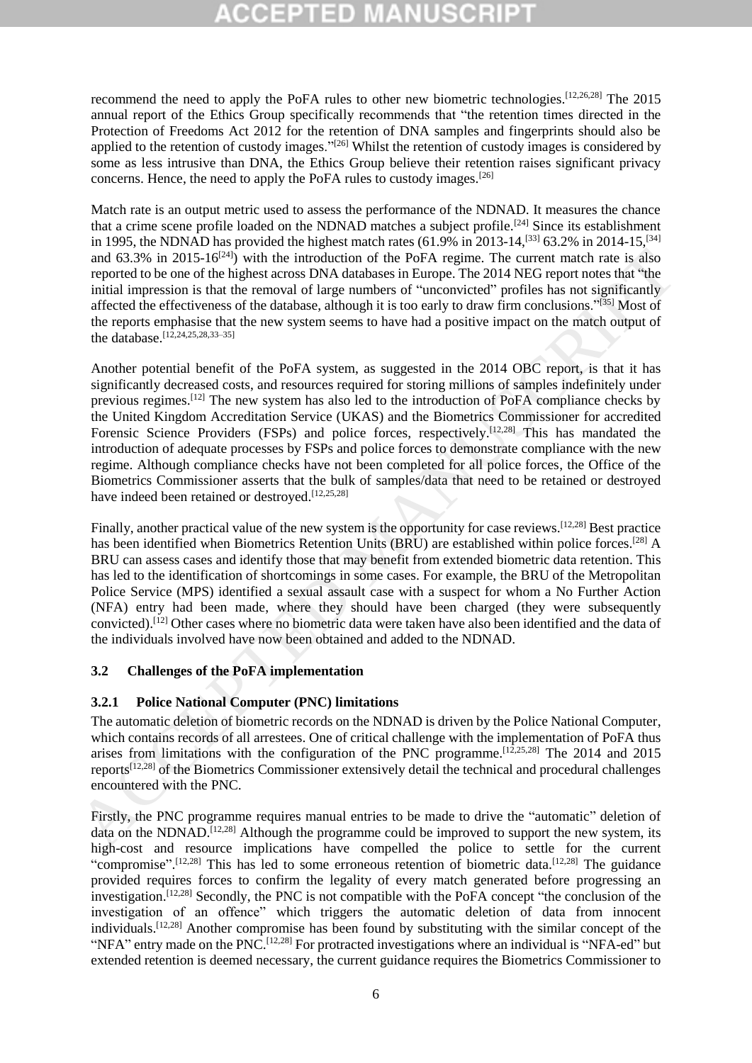recommend the need to apply the PoFA rules to other new biometric technologies.[12,26,28] The 2015 annual report of the Ethics Group specifically recommends that "the retention times directed in the Protection of Freedoms Act 2012 for the retention of DNA samples and fingerprints should also be applied to the retention of custody images."<sup>[26]</sup> Whilst the retention of custody images is considered by some as less intrusive than DNA, the Ethics Group believe their retention raises significant privacy concerns. Hence, the need to apply the PoFA rules to custody images.[26]

Match rate is an output metric used to assess the performance of the NDNAD. It measures the chance that a crime scene profile loaded on the NDNAD matches a subject profile.[24] Since its establishment in 1995, the NDNAD has provided the highest match rates (61.9% in 2013-14,<sup>[33]</sup> 63.2% in 2014-15,<sup>[34]</sup> and  $63.3\%$  in 2015-16<sup>[24]</sup>) with the introduction of the PoFA regime. The current match rate is also reported to be one of the highest across DNA databases in Europe. The 2014 NEG report notes that "the initial impression is that the removal of large numbers of "unconvicted" profiles has not significantly affected the effectiveness of the database, although it is too early to draw firm conclusions."[35] Most of the reports emphasise that the new system seems to have had a positive impact on the match output of the database. [12,24,25,28,33–35]

Another potential benefit of the PoFA system, as suggested in the 2014 OBC report, is that it has significantly decreased costs, and resources required for storing millions of samples indefinitely under previous regimes.[12] The new system has also led to the introduction of PoFA compliance checks by the United Kingdom Accreditation Service (UKAS) and the Biometrics Commissioner for accredited Forensic Science Providers (FSPs) and police forces, respectively.<sup>[12,28]</sup> This has mandated the introduction of adequate processes by FSPs and police forces to demonstrate compliance with the new regime. Although compliance checks have not been completed for all police forces, the Office of the Biometrics Commissioner asserts that the bulk of samples/data that need to be retained or destroyed have indeed been retained or destroyed.<sup>[12,25,28]</sup> and 63.3% in 2015-16<sup>073</sup>) with the introduction of the PoFA regime. The current match rate is also required to be one of the birghet ateros IDNA diabases in Farmy. The 2014 NEG report mote is that the more of the birghet

Finally, another practical value of the new system is the opportunity for case reviews.<sup>[12,28]</sup> Best practice has been identified when Biometrics Retention Units (BRU) are established within police forces.<sup>[28]</sup> A BRU can assess cases and identify those that may benefit from extended biometric data retention. This has led to the identification of shortcomings in some cases. For example, the BRU of the Metropolitan Police Service (MPS) identified a sexual assault case with a suspect for whom a No Further Action (NFA) entry had been made, where they should have been charged (they were subsequently convicted). [12] Other cases where no biometric data were taken have also been identified and the data of the individuals involved have now been obtained and added to the NDNAD.

### **3.2 Challenges of the PoFA implementation**

# **3.2.1 Police National Computer (PNC) limitations**

The automatic deletion of biometric records on the NDNAD is driven by the Police National Computer, which contains records of all arrestees. One of critical challenge with the implementation of PoFA thus arises from limitations with the configuration of the PNC programme.<sup>[12,25,28]</sup> The 2014 and 2015 reports[12,28] of the Biometrics Commissioner extensively detail the technical and procedural challenges encountered with the PNC.

Firstly, the PNC programme requires manual entries to be made to drive the "automatic" deletion of data on the NDNAD.[12,28] Although the programme could be improved to support the new system, its high-cost and resource implications have compelled the police to settle for the current "compromise".<sup>[12,28]</sup> This has led to some erroneous retention of biometric data.<sup>[12,28]</sup> The guidance provided requires forces to confirm the legality of every match generated before progressing an investigation. [12,28] Secondly, the PNC is not compatible with the PoFA concept "the conclusion of the investigation of an offence" which triggers the automatic deletion of data from innocent individuals. [12,28] Another compromise has been found by substituting with the similar concept of the "NFA" entry made on the PNC.<sup>[12,28]</sup> For protracted investigations where an individual is "NFA-ed" but extended retention is deemed necessary, the current guidance requires the Biometrics Commissioner to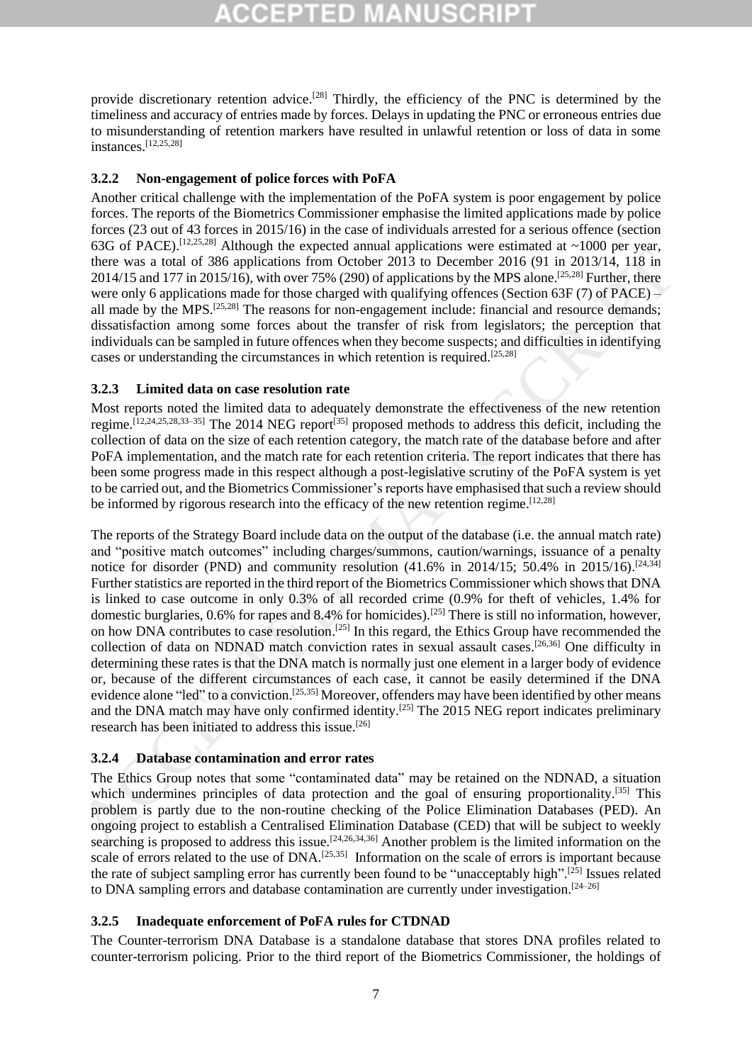provide discretionary retention advice.<sup>[28]</sup> Thirdly, the efficiency of the PNC is determined by the timeliness and accuracy of entries made by forces. Delays in updating the PNC or erroneous entries due to misunderstanding of retention markers have resulted in unlawful retention or loss of data in some instances.[12,25,28]

### **3.2.2 Non-engagement of police forces with PoFA**

Another critical challenge with the implementation of the PoFA system is poor engagement by police forces. The reports of the Biometrics Commissioner emphasise the limited applications made by police forces (23 out of 43 forces in 2015/16) in the case of individuals arrested for a serious offence (section 63G of PACE).<sup>[12,25,28]</sup> Although the expected annual applications were estimated at  $\sim$ 1000 per year, there was a total of 386 applications from October 2013 to December 2016 (91 in 2013/14, 118 in 2014/15 and 177 in 2015/16), with over 75% (290) of applications by the MPS alone. [25,28] Further, there were only 6 applications made for those charged with qualifying offences (Section 63F (7) of PACE) – all made by the MPS.<sup>[25,28]</sup> The reasons for non-engagement include: financial and resource demands; dissatisfaction among some forces about the transfer of risk from legislators; the perception that individuals can be sampled in future offences when they become suspects; and difficulties in identifying cases or understanding the circumstances in which retention is required.[25,28]

### **3.2.3 Limited data on case resolution rate**

Most reports noted the limited data to adequately demonstrate the effectiveness of the new retention regime.[12,24,25,28,33–35] The 2014 NEG report[35] proposed methods to address this deficit, including the collection of data on the size of each retention category, the match rate of the database before and after PoFA implementation, and the match rate for each retention criteria. The report indicates that there has been some progress made in this respect although a post-legislative scrutiny of the PoFA system is yet to be carried out, and the Biometrics Commissioner's reports have emphasised that such a review should be informed by rigorous research into the efficacy of the new retention regime.<sup>[12,28]</sup>

The reports of the Strategy Board include data on the output of the database (i.e. the annual match rate) and "positive match outcomes" including charges/summons, caution/warnings, issuance of a penalty notice for disorder (PND) and community resolution (41.6% in 2014/15; 50.4% in 2015/16).<sup>[24,34]</sup> Further statistics are reported in the third report of the Biometrics Commissioner which shows that DNA is linked to case outcome in only 0.3% of all recorded crime (0.9% for theft of vehicles, 1.4% for domestic burglaries, 0.6% for rapes and 8.4% for homicides).[25] There is still no information, however, on how DNA contributes to case resolution.<sup>[25]</sup> In this regard, the Ethics Group have recommended the collection of data on NDNAD match conviction rates in sexual assault cases.<sup>[26,36]</sup> One difficulty in determining these rates is that the DNA match is normally just one element in a larger body of evidence or, because of the different circumstances of each case, it cannot be easily determined if the DNA evidence alone "led" to a conviction.<sup>[25,35]</sup> Moreover, offenders may have been identified by other means and the DNA match may have only confirmed identity.<sup>[25]</sup> The 2015 NEG report indicates preliminary research has been initiated to address this issue.[26] bloco was a total of 386 worspits for from October 2011 to Descenber 2016 (01 in 2013/14, 1186)<br>
2016/01 in 2016/01 in 2016/01 in 2016/01 of 10 in 2016/01 in 2016/01 in 2016/01 in 2016/01 in 2016/01 in 2016/14, 128<br>
2014/

#### **3.2.4 Database contamination and error rates**

The Ethics Group notes that some "contaminated data" may be retained on the NDNAD, a situation which undermines principles of data protection and the goal of ensuring proportionality.<sup>[35]</sup> This problem is partly due to the non-routine checking of the Police Elimination Databases (PED). An ongoing project to establish a Centralised Elimination Database (CED) that will be subject to weekly searching is proposed to address this issue.<sup>[24,26,34,36]</sup> Another problem is the limited information on the scale of errors related to the use of DNA.<sup>[25,35]</sup> Information on the scale of errors is important because the rate of subject sampling error has currently been found to be "unacceptably high".<sup>[25]</sup> Issues related to DNA sampling errors and database contamination are currently under investigation.<sup>[24-26]</sup>

### **3.2.5 Inadequate enforcement of PoFA rules for CTDNAD**

The Counter-terrorism DNA Database is a standalone database that stores DNA profiles related to counter-terrorism policing. Prior to the third report of the Biometrics Commissioner, the holdings of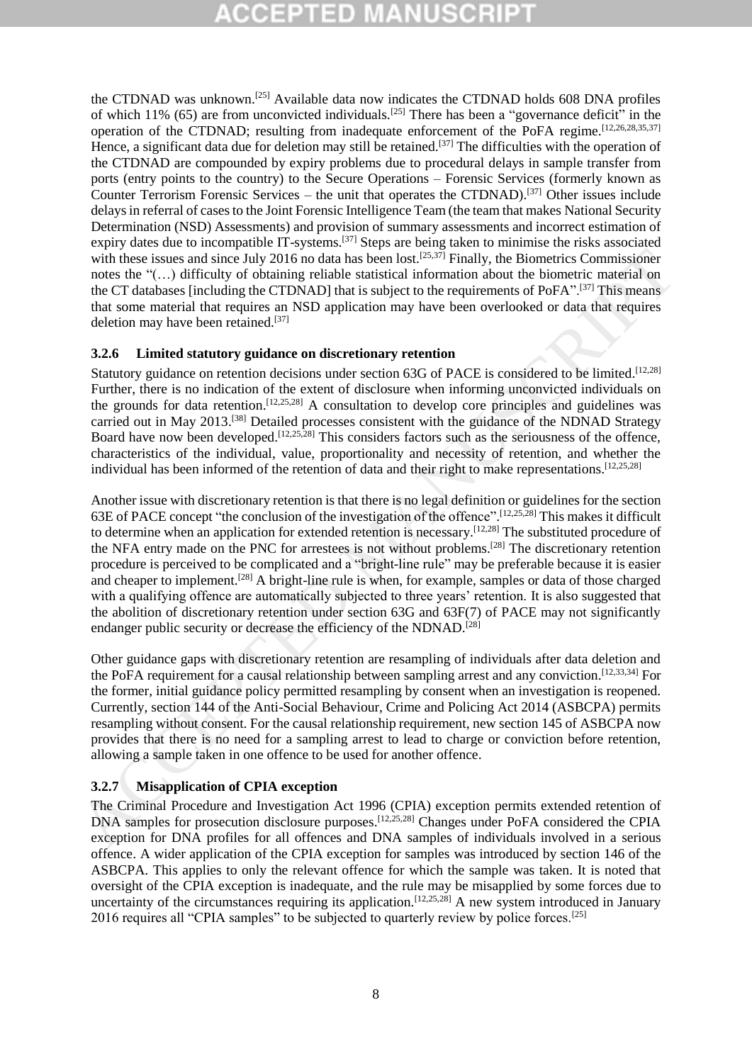the CTDNAD was unknown.[25] Available data now indicates the CTDNAD holds 608 DNA profiles of which 11% (65) are from unconvicted individuals.<sup>[25]</sup> There has been a "governance deficit" in the operation of the CTDNAD; resulting from inadequate enforcement of the PoFA regime.<sup>[12,26,28,35,37]</sup> Hence, a significant data due for deletion may still be retained.<sup>[37]</sup> The difficulties with the operation of the CTDNAD are compounded by expiry problems due to procedural delays in sample transfer from ports (entry points to the country) to the Secure Operations – Forensic Services (formerly known as Counter Terrorism Forensic Services – the unit that operates the CTDNAD).<sup>[37]</sup> Other issues include delays in referral of cases to the Joint Forensic Intelligence Team (the team that makes National Security Determination (NSD) Assessments) and provision of summary assessments and incorrect estimation of expiry dates due to incompatible IT-systems.<sup>[37]</sup> Steps are being taken to minimise the risks associated with these issues and since July 2016 no data has been lost.<sup>[25,37]</sup> Finally, the Biometrics Commissioner notes the "(…) difficulty of obtaining reliable statistical information about the biometric material on the CT databases [including the CTDNAD] that is subject to the requirements of PoFA".[37] This means that some material that requires an NSD application may have been overlooked or data that requires deletion may have been retained.[37]

### **3.2.6 Limited statutory guidance on discretionary retention**

Statutory guidance on retention decisions under section 63G of PACE is considered to be limited.<sup>[12,28]</sup> Further, there is no indication of the extent of disclosure when informing unconvicted individuals on the grounds for data retention. [12,25,28] A consultation to develop core principles and guidelines was carried out in May 2013.<sup>[38]</sup> Detailed processes consistent with the guidance of the NDNAD Strategy Board have now been developed.<sup>[12,25,28]</sup> This considers factors such as the seriousness of the offence, characteristics of the individual, value, proportionality and necessity of retention, and whether the individual has been informed of the retention of data and their right to make representations.<sup>[12,25,28]</sup>

Another issue with discretionary retention is that there is no legal definition or guidelines for the section 63E of PACE concept "the conclusion of the investigation of the offence". [12,25,28] This makes it difficult to determine when an application for extended retention is necessary.[12,28] The substituted procedure of the NFA entry made on the PNC for arrestees is not without problems.<sup>[28]</sup> The discretionary retention procedure is perceived to be complicated and a "bright-line rule" may be preferable because it is easier and cheaper to implement.<sup>[28]</sup> A bright-line rule is when, for example, samples or data of those charged with a qualifying offence are automatically subjected to three years' retention. It is also suggested that the abolition of discretionary retention under section 63G and 63F(7) of PACE may not significantly endanger public security or decrease the efficiency of the NDNAD.<sup>[28]</sup> with heats issues and since July 2016 to a data has been lost that in the been issues. Commissioner and the control of the anti-state and the sincere is the CT data series and the Sometical methanic of the CT data series

Other guidance gaps with discretionary retention are resampling of individuals after data deletion and the PoFA requirement for a causal relationship between sampling arrest and any conviction.[12,33,34] For the former, initial guidance policy permitted resampling by consent when an investigation is reopened. Currently, section 144 of the Anti-Social Behaviour, Crime and Policing Act 2014 (ASBCPA) permits resampling without consent. For the causal relationship requirement, new section 145 of ASBCPA now provides that there is no need for a sampling arrest to lead to charge or conviction before retention, allowing a sample taken in one offence to be used for another offence.

### **3.2.7 Misapplication of CPIA exception**

The Criminal Procedure and Investigation Act 1996 (CPIA) exception permits extended retention of DNA samples for prosecution disclosure purposes.<sup>[12,25,28]</sup> Changes under PoFA considered the CPIA exception for DNA profiles for all offences and DNA samples of individuals involved in a serious offence. A wider application of the CPIA exception for samples was introduced by section 146 of the ASBCPA. This applies to only the relevant offence for which the sample was taken. It is noted that oversight of the CPIA exception is inadequate, and the rule may be misapplied by some forces due to uncertainty of the circumstances requiring its application.<sup>[12,25,28]</sup> A new system introduced in January 2016 requires all "CPIA samples" to be subjected to quarterly review by police forces.[25]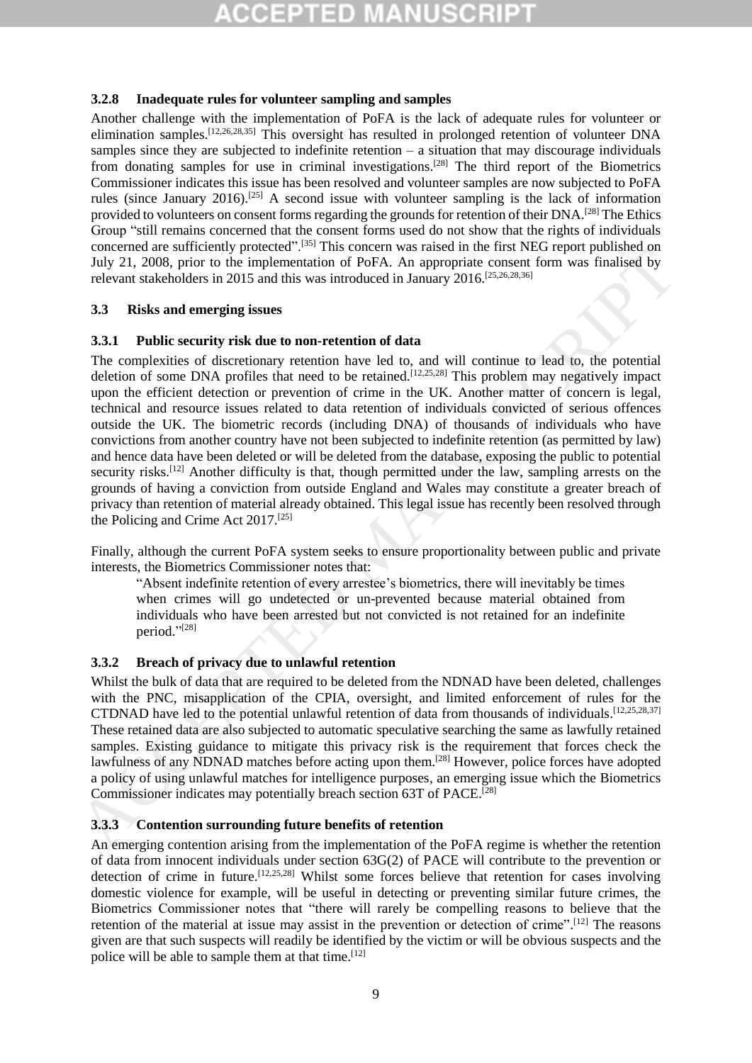### **3.2.8 Inadequate rules for volunteer sampling and samples**

Another challenge with the implementation of PoFA is the lack of adequate rules for volunteer or elimination samples.<sup>[12,26,28,35]</sup> This oversight has resulted in prolonged retention of volunteer DNA samples since they are subjected to indefinite retention – a situation that may discourage individuals from donating samples for use in criminal investigations.<sup>[28]</sup> The third report of the Biometrics Commissioner indicates this issue has been resolved and volunteer samples are now subjected to PoFA rules (since January 2016).<sup>[25]</sup> A second issue with volunteer sampling is the lack of information provided to volunteers on consent forms regarding the grounds for retention of their DNA.<sup>[28]</sup> The Ethics Group "still remains concerned that the consent forms used do not show that the rights of individuals concerned are sufficiently protected".[35] This concern was raised in the first NEG report published on July 21, 2008, prior to the implementation of PoFA. An appropriate consent form was finalised by relevant stakeholders in 2015 and this was introduced in January 2016.[25,26,28,36]

## **3.3 Risks and emerging issues**

## **3.3.1 Public security risk due to non-retention of data**

The complexities of discretionary retention have led to, and will continue to lead to, the potential deletion of some DNA profiles that need to be retained.<sup>[12,25,28]</sup> This problem may negatively impact upon the efficient detection or prevention of crime in the UK. Another matter of concern is legal, technical and resource issues related to data retention of individuals convicted of serious offences outside the UK. The biometric records (including DNA) of thousands of individuals who have convictions from another country have not been subjected to indefinite retention (as permitted by law) and hence data have been deleted or will be deleted from the database, exposing the public to potential security risks.<sup>[12]</sup> Another difficulty is that, though permitted under the law, sampling arrests on the grounds of having a conviction from outside England and Wales may constitute a greater breach of privacy than retention of material already obtained. This legal issue has recently been resolved through the Policing and Crime Act 2017.[25] And the policies and Cine Reaction of PoEA. An appropriate consent form, we are the state of the policies in the state of the policies in the state of the policies in the state of the policies in the complexies in 2015 a

Finally, although the current PoFA system seeks to ensure proportionality between public and private interests, the Biometrics Commissioner notes that:

"Absent indefinite retention of every arrestee's biometrics, there will inevitably be times when crimes will go undetected or un-prevented because material obtained from individuals who have been arrested but not convicted is not retained for an indefinite period." [28]

# **3.3.2 Breach of privacy due to unlawful retention**

Whilst the bulk of data that are required to be deleted from the NDNAD have been deleted, challenges with the PNC, misapplication of the CPIA, oversight, and limited enforcement of rules for the CTDNAD have led to the potential unlawful retention of data from thousands of individuals. [12,25,28,37] These retained data are also subjected to automatic speculative searching the same as lawfully retained samples. Existing guidance to mitigate this privacy risk is the requirement that forces check the lawfulness of any NDNAD matches before acting upon them.[28] However, police forces have adopted a policy of using unlawful matches for intelligence purposes, an emerging issue which the Biometrics Commissioner indicates may potentially breach section 63T of PACE. [28]

# **3.3.3 Contention surrounding future benefits of retention**

An emerging contention arising from the implementation of the PoFA regime is whether the retention of data from innocent individuals under section 63G(2) of PACE will contribute to the prevention or detection of crime in future.[12,25,28] Whilst some forces believe that retention for cases involving domestic violence for example, will be useful in detecting or preventing similar future crimes, the Biometrics Commissioner notes that "there will rarely be compelling reasons to believe that the retention of the material at issue may assist in the prevention or detection of crime".<sup>[12]</sup> The reasons given are that such suspects will readily be identified by the victim or will be obvious suspects and the police will be able to sample them at that time.  $[12]$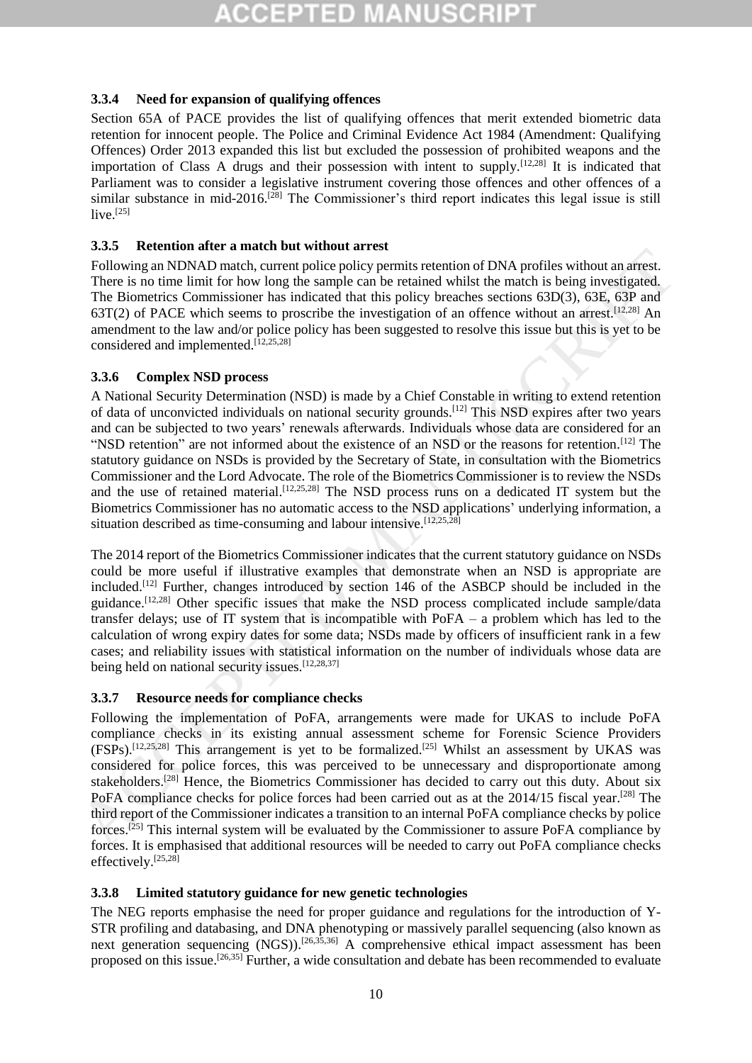# **3.3.4 Need for expansion of qualifying offences**

Section 65A of PACE provides the list of qualifying offences that merit extended biometric data retention for innocent people. The Police and Criminal Evidence Act 1984 (Amendment: Qualifying Offences) Order 2013 expanded this list but excluded the possession of prohibited weapons and the importation of Class A drugs and their possession with intent to supply.<sup>[12,28]</sup> It is indicated that Parliament was to consider a legislative instrument covering those offences and other offences of a similar substance in mid-2016.<sup>[28]</sup> The Commissioner's third report indicates this legal issue is still  $live.<sup>[25]</sup>$ 

# **3.3.5 Retention after a match but without arrest**

Following an NDNAD match, current police policy permits retention of DNA profiles without an arrest. There is no time limit for how long the sample can be retained whilst the match is being investigated. The Biometrics Commissioner has indicated that this policy breaches sections 63D(3), 63E, 63P and 63T(2) of PACE which seems to proscribe the investigation of an offence without an arrest.<sup>[12,28]</sup> An amendment to the law and/or police policy has been suggested to resolve this issue but this is yet to be considered and implemented. $[12,25,28]$ 

# **3.3.6 Complex NSD process**

A National Security Determination (NSD) is made by a Chief Constable in writing to extend retention of data of unconvicted individuals on national security grounds.[12] This NSD expires after two years and can be subjected to two years' renewals afterwards. Individuals whose data are considered for an "NSD retention" are not informed about the existence of an NSD or the reasons for retention.<sup>[12]</sup> The statutory guidance on NSDs is provided by the Secretary of State, in consultation with the Biometrics Commissioner and the Lord Advocate. The role of the Biometrics Commissioner is to review the NSDs and the use of retained material.<sup>[12,25,28]</sup> The NSD process runs on a dedicated IT system but the Biometrics Commissioner has no automatic access to the NSD applications' underlying information, a situation described as time-consuming and labour intensive.  $[12,25,28]$ 25.1.<br>
Tollowing an NDNAD match, current police policy permits retreation of DNA profiles without an arrest.<br>
There is no time limit for how long the sample can be retained whilst the metched bis being investigated.<br>
The

The 2014 report of the Biometrics Commissioner indicates that the current statutory guidance on NSDs could be more useful if illustrative examples that demonstrate when an NSD is appropriate are included. [12] Further, changes introduced by section 146 of the ASBCP should be included in the guidance.<sup>[12,28]</sup> Other specific issues that make the NSD process complicated include sample/data transfer delays; use of IT system that is incompatible with PoFA – a problem which has led to the calculation of wrong expiry dates for some data; NSDs made by officers of insufficient rank in a few cases; and reliability issues with statistical information on the number of individuals whose data are being held on national security issues.<sup>[12,28,37]</sup>

# **3.3.7 Resource needs for compliance checks**

Following the implementation of PoFA, arrangements were made for UKAS to include PoFA compliance checks in its existing annual assessment scheme for Forensic Science Providers (FSPs).<sup>[12,25,28]</sup> This arrangement is yet to be formalized.<sup>[25]</sup> Whilst an assessment by UKAS was considered for police forces, this was perceived to be unnecessary and disproportionate among stakeholders.<sup>[28]</sup> Hence, the Biometrics Commissioner has decided to carry out this duty. About six PoFA compliance checks for police forces had been carried out as at the 2014/15 fiscal year.<sup>[28]</sup> The third report of the Commissioner indicates a transition to an internal PoFA compliance checks by police forces.<sup>[25]</sup> This internal system will be evaluated by the Commissioner to assure PoFA compliance by forces. It is emphasised that additional resources will be needed to carry out PoFA compliance checks effectively.[25,28]

# **3.3.8 Limited statutory guidance for new genetic technologies**

The NEG reports emphasise the need for proper guidance and regulations for the introduction of Y-STR profiling and databasing, and DNA phenotyping or massively parallel sequencing (also known as next generation sequencing (NGS)).<sup>[26,35,36]</sup> A comprehensive ethical impact assessment has been proposed on this issue.<sup>[26,35]</sup> Further, a wide consultation and debate has been recommended to evaluate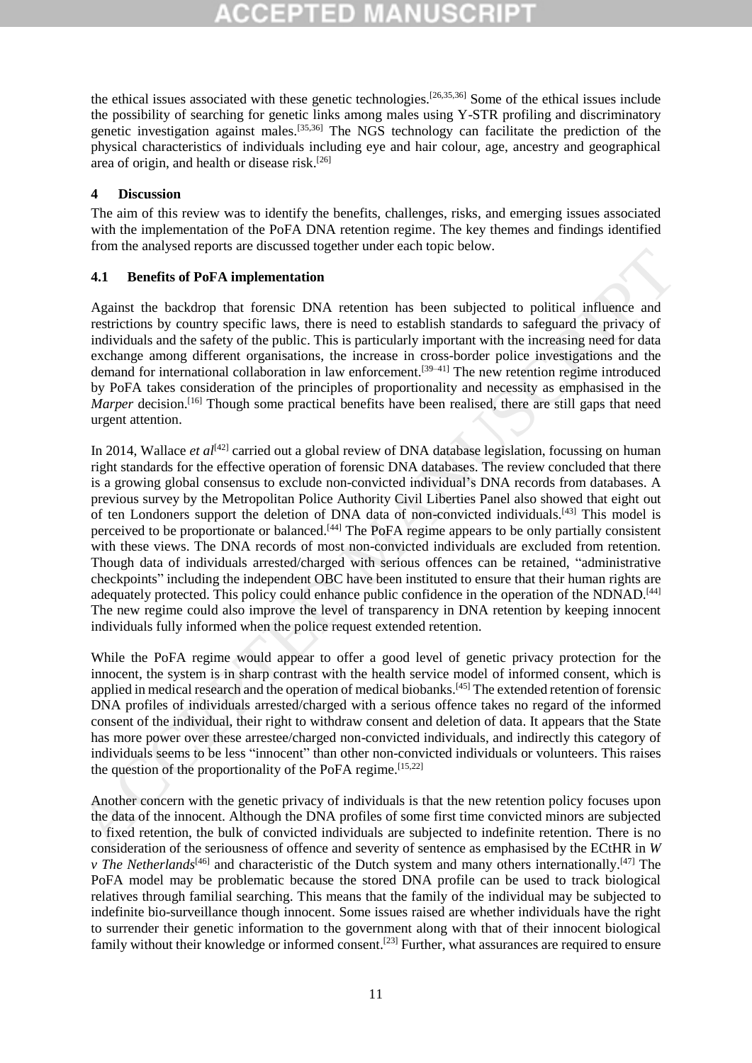the ethical issues associated with these genetic technologies.[26,35,36] Some of the ethical issues include the possibility of searching for genetic links among males using Y-STR profiling and discriminatory genetic investigation against males.[35,36] The NGS technology can facilitate the prediction of the physical characteristics of individuals including eye and hair colour, age, ancestry and geographical area of origin, and health or disease risk.<sup>[26]</sup>

### **4 Discussion**

The aim of this review was to identify the benefits, challenges, risks, and emerging issues associated with the implementation of the PoFA DNA retention regime. The key themes and findings identified from the analysed reports are discussed together under each topic below.

### **4.1 Benefits of PoFA implementation**

Against the backdrop that forensic DNA retention has been subjected to political influence and restrictions by country specific laws, there is need to establish standards to safeguard the privacy of individuals and the safety of the public. This is particularly important with the increasing need for data exchange among different organisations, the increase in cross-border police investigations and the demand for international collaboration in law enforcement.<sup>[39-41]</sup> The new retention regime introduced by PoFA takes consideration of the principles of proportionality and necessity as emphasised in the Marper decision.<sup>[16]</sup> Though some practical benefits have been realised, there are still gaps that need urgent attention.

In 2014, Wallace *et al*<sup>[42]</sup> carried out a global review of DNA database legislation, focussing on human right standards for the effective operation of forensic DNA databases. The review concluded that there is a growing global consensus to exclude non-convicted individual's DNA records from databases. A previous survey by the Metropolitan Police Authority Civil Liberties Panel also showed that eight out of ten Londoners support the deletion of DNA data of non-convicted individuals.[43] This model is perceived to be proportionate or balanced.[44] The PoFA regime appears to be only partially consistent with these views. The DNA records of most non-convicted individuals are excluded from retention. Though data of individuals arrested/charged with serious offences can be retained, "administrative checkpoints" including the independent OBC have been instituted to ensure that their human rights are adequately protected. This policy could enhance public confidence in the operation of the NDNAD.<sup>[44]</sup> The new regime could also improve the level of transparency in DNA retention by keeping innocent individuals fully informed when the police request extended retention. From the denoty-sole of the state of the state is a state of the state of the state of the state of the state of the state of the state of the state of the state of the state of the state of the public. This is particle i

While the PoFA regime would appear to offer a good level of genetic privacy protection for the innocent, the system is in sharp contrast with the health service model of informed consent, which is applied in medical research and the operation of medical biobanks.<sup>[45]</sup> The extended retention of forensic DNA profiles of individuals arrested/charged with a serious offence takes no regard of the informed consent of the individual, their right to withdraw consent and deletion of data. It appears that the State has more power over these arrestee/charged non-convicted individuals, and indirectly this category of individuals seems to be less "innocent" than other non-convicted individuals or volunteers. This raises the question of the proportionality of the PoFA regime. [15,22]

Another concern with the genetic privacy of individuals is that the new retention policy focuses upon the data of the innocent. Although the DNA profiles of some first time convicted minors are subjected to fixed retention, the bulk of convicted individuals are subjected to indefinite retention. There is no consideration of the seriousness of offence and severity of sentence as emphasised by the ECtHR in *W v The Netherlands*<sup>[46]</sup> and characteristic of the Dutch system and many others internationally.<sup>[47]</sup> The PoFA model may be problematic because the stored DNA profile can be used to track biological relatives through familial searching. This means that the family of the individual may be subjected to indefinite bio-surveillance though innocent. Some issues raised are whether individuals have the right to surrender their genetic information to the government along with that of their innocent biological family without their knowledge or informed consent.<sup>[23]</sup> Further, what assurances are required to ensure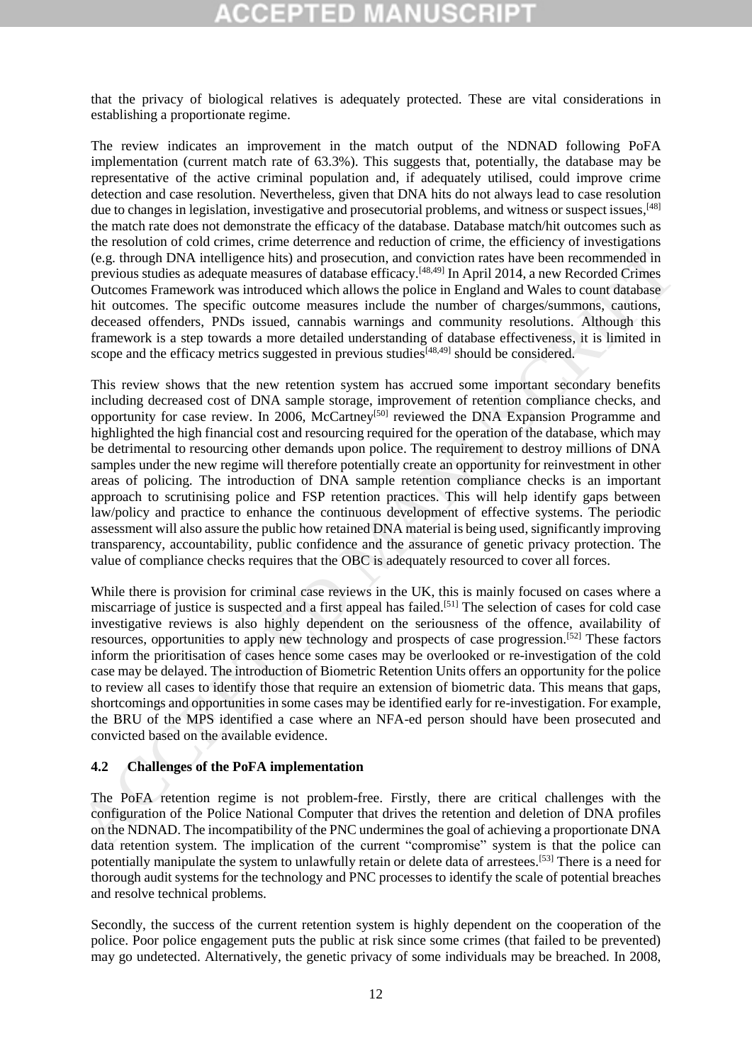that the privacy of biological relatives is adequately protected. These are vital considerations in establishing a proportionate regime.

The review indicates an improvement in the match output of the NDNAD following PoFA implementation (current match rate of 63.3%). This suggests that, potentially, the database may be representative of the active criminal population and, if adequately utilised, could improve crime detection and case resolution. Nevertheless, given that DNA hits do not always lead to case resolution due to changes in legislation, investigative and prosecutorial problems, and witness or suspect issues, [48] the match rate does not demonstrate the efficacy of the database. Database match/hit outcomes such as the resolution of cold crimes, crime deterrence and reduction of crime, the efficiency of investigations (e.g. through DNA intelligence hits) and prosecution, and conviction rates have been recommended in previous studies as adequate measures of database efficacy.[48,49] In April 2014, a new Recorded Crimes Outcomes Framework was introduced which allows the police in England and Wales to count database hit outcomes. The specific outcome measures include the number of charges/summons, cautions, deceased offenders, PNDs issued, cannabis warnings and community resolutions. Although this framework is a step towards a more detailed understanding of database effectiveness, it is limited in scope and the efficacy metrics suggested in previous studies<sup> $[48,49]$ </sup> should be considered.

This review shows that the new retention system has accrued some important secondary benefits including decreased cost of DNA sample storage, improvement of retention compliance checks, and opportunity for case review. In 2006, McCartney[50] reviewed the DNA Expansion Programme and highlighted the high financial cost and resourcing required for the operation of the database, which may be detrimental to resourcing other demands upon police. The requirement to destroy millions of DNA samples under the new regime will therefore potentially create an opportunity for reinvestment in other areas of policing. The introduction of DNA sample retention compliance checks is an important approach to scrutinising police and FSP retention practices. This will help identify gaps between law/policy and practice to enhance the continuous development of effective systems. The periodic assessment will also assure the public how retained DNA material is being used, significantly improving transparency, accountability, public confidence and the assurance of genetic privacy protection. The value of compliance checks requires that the OBC is adequately resourced to cover all forces. (e.g. through DNA intelligence hits) and rose-cution, and conviction rates have been reconneled in<br>the convictor statistics and causar estimates of database efficacy.<sup>56,80</sup> In April 2014, a new Recorded Crimes<br>Outcomes F

While there is provision for criminal case reviews in the UK, this is mainly focused on cases where a miscarriage of justice is suspected and a first appeal has failed. [51] The selection of cases for cold case investigative reviews is also highly dependent on the seriousness of the offence, availability of resources, opportunities to apply new technology and prospects of case progression.[52] These factors inform the prioritisation of cases hence some cases may be overlooked or re-investigation of the cold case may be delayed. The introduction of Biometric Retention Units offers an opportunity for the police to review all cases to identify those that require an extension of biometric data. This means that gaps, shortcomings and opportunities in some cases may be identified early for re-investigation. For example, the BRU of the MPS identified a case where an NFA-ed person should have been prosecuted and convicted based on the available evidence.

#### **4.2 Challenges of the PoFA implementation**

The PoFA retention regime is not problem-free. Firstly, there are critical challenges with the configuration of the Police National Computer that drives the retention and deletion of DNA profiles on the NDNAD. The incompatibility of the PNC undermines the goal of achieving a proportionate DNA data retention system. The implication of the current "compromise" system is that the police can potentially manipulate the system to unlawfully retain or delete data of arrestees.[53] There is a need for thorough audit systems for the technology and PNC processes to identify the scale of potential breaches and resolve technical problems.

Secondly, the success of the current retention system is highly dependent on the cooperation of the police. Poor police engagement puts the public at risk since some crimes (that failed to be prevented) may go undetected. Alternatively, the genetic privacy of some individuals may be breached. In 2008,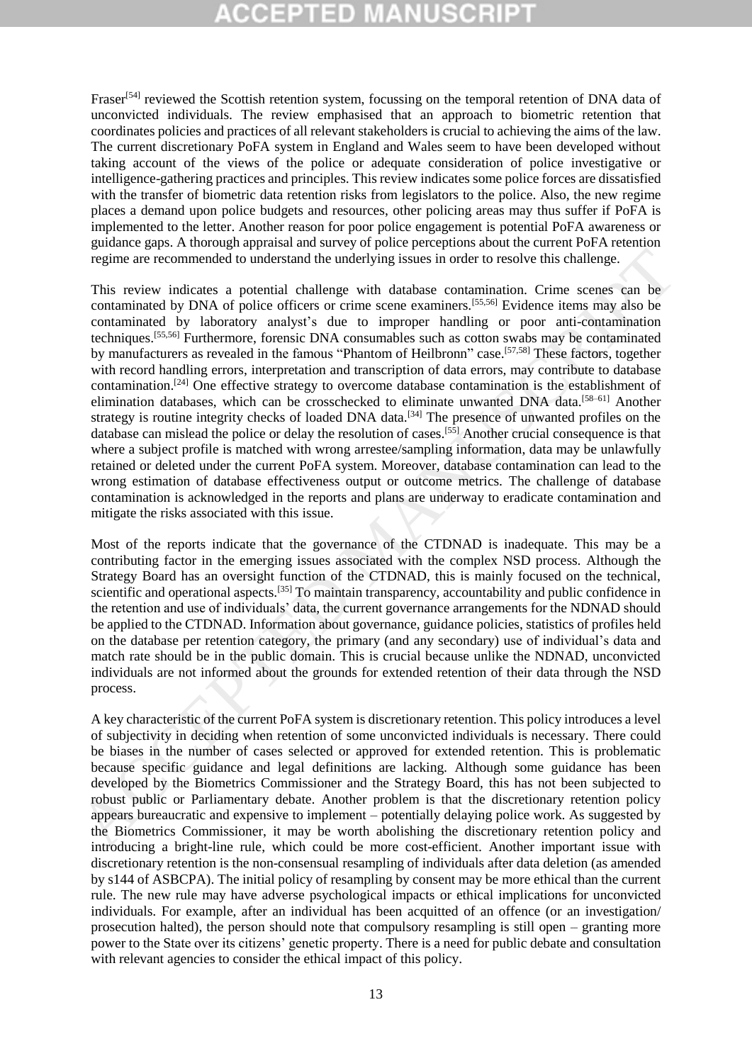Fraser<sup>[54]</sup> reviewed the Scottish retention system, focussing on the temporal retention of DNA data of unconvicted individuals. The review emphasised that an approach to biometric retention that coordinates policies and practices of all relevant stakeholders is crucial to achieving the aims of the law. The current discretionary PoFA system in England and Wales seem to have been developed without taking account of the views of the police or adequate consideration of police investigative or intelligence-gathering practices and principles. This review indicates some police forces are dissatisfied with the transfer of biometric data retention risks from legislators to the police. Also, the new regime places a demand upon police budgets and resources, other policing areas may thus suffer if PoFA is implemented to the letter. Another reason for poor police engagement is potential PoFA awareness or guidance gaps. A thorough appraisal and survey of police perceptions about the current PoFA retention regime are recommended to understand the underlying issues in order to resolve this challenge.

This review indicates a potential challenge with database contamination. Crime scenes can be contaminated by DNA of police officers or crime scene examiners.[55,56] Evidence items may also be contaminated by laboratory analyst's due to improper handling or poor anti-contamination techniques. [55,56] Furthermore, forensic DNA consumables such as cotton swabs may be contaminated by manufacturers as revealed in the famous "Phantom of Heilbronn" case.<sup>[57,58]</sup> These factors, together with record handling errors, interpretation and transcription of data errors, may contribute to database contamination.[24] One effective strategy to overcome database contamination is the establishment of elimination databases, which can be crosschecked to eliminate unwanted DNA data.<sup>[58-61]</sup> Another strategy is routine integrity checks of loaded DNA data.<sup>[34]</sup> The presence of unwanted profiles on the database can mislead the police or delay the resolution of cases.[55] Another crucial consequence is that where a subject profile is matched with wrong arrestee/sampling information, data may be unlawfully retained or deleted under the current PoFA system. Moreover, database contamination can lead to the wrong estimation of database effectiveness output or outcome metrics. The challenge of database contamination is acknowledged in the reports and plans are underway to eradicate contamination and mitigate the risks associated with this issue. regime are recommended to understand the underlying issues in order to resolve this challenge.<br>This review indicates a potential challenge with database containation. Crime seems can be contaminated by DNA of police office

Most of the reports indicate that the governance of the CTDNAD is inadequate. This may be a contributing factor in the emerging issues associated with the complex NSD process. Although the Strategy Board has an oversight function of the CTDNAD, this is mainly focused on the technical, scientific and operational aspects.<sup>[35]</sup> To maintain transparency, accountability and public confidence in the retention and use of individuals' data, the current governance arrangements for the NDNAD should be applied to the CTDNAD. Information about governance, guidance policies, statistics of profiles held on the database per retention category, the primary (and any secondary) use of individual's data and match rate should be in the public domain. This is crucial because unlike the NDNAD, unconvicted individuals are not informed about the grounds for extended retention of their data through the NSD process.

A key characteristic of the current PoFA system is discretionary retention. This policy introduces a level of subjectivity in deciding when retention of some unconvicted individuals is necessary. There could be biases in the number of cases selected or approved for extended retention. This is problematic because specific guidance and legal definitions are lacking. Although some guidance has been developed by the Biometrics Commissioner and the Strategy Board, this has not been subjected to robust public or Parliamentary debate. Another problem is that the discretionary retention policy appears bureaucratic and expensive to implement – potentially delaying police work. As suggested by the Biometrics Commissioner, it may be worth abolishing the discretionary retention policy and introducing a bright-line rule, which could be more cost-efficient. Another important issue with discretionary retention is the non-consensual resampling of individuals after data deletion (as amended by s144 of ASBCPA). The initial policy of resampling by consent may be more ethical than the current rule. The new rule may have adverse psychological impacts or ethical implications for unconvicted individuals. For example, after an individual has been acquitted of an offence (or an investigation/ prosecution halted), the person should note that compulsory resampling is still open – granting more power to the State over its citizens' genetic property. There is a need for public debate and consultation with relevant agencies to consider the ethical impact of this policy.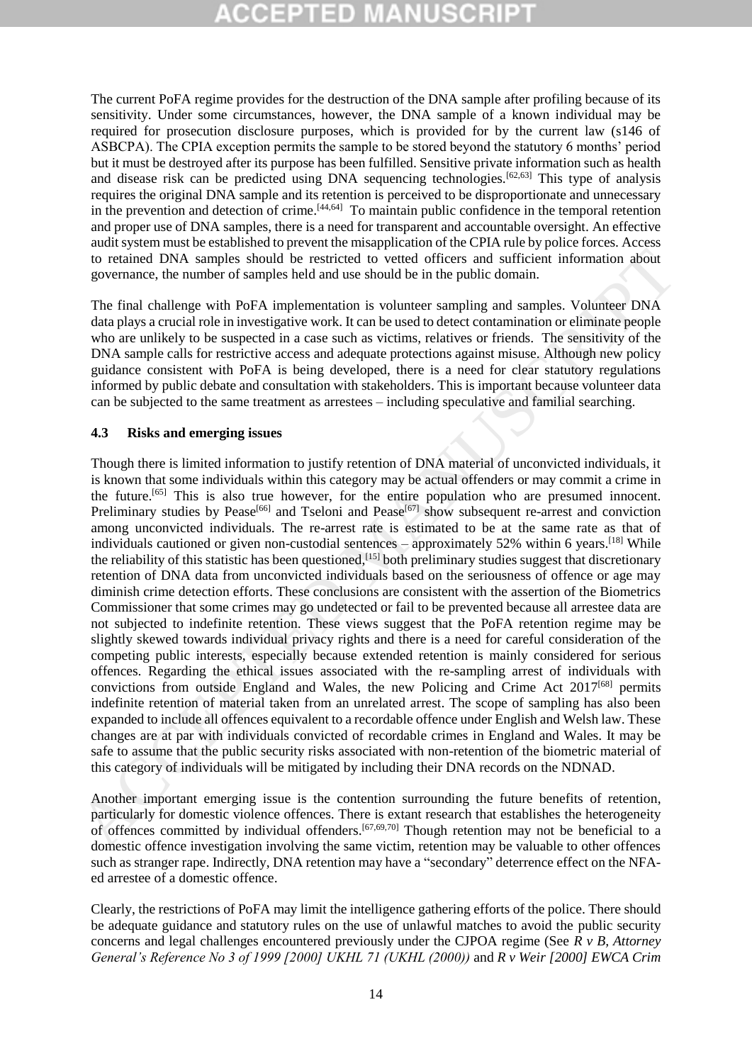The current PoFA regime provides for the destruction of the DNA sample after profiling because of its sensitivity. Under some circumstances, however, the DNA sample of a known individual may be required for prosecution disclosure purposes, which is provided for by the current law (s146 of ASBCPA). The CPIA exception permits the sample to be stored beyond the statutory 6 months' period but it must be destroyed after its purpose has been fulfilled. Sensitive private information such as health and disease risk can be predicted using DNA sequencing technologies.[62,63] This type of analysis requires the original DNA sample and its retention is perceived to be disproportionate and unnecessary in the prevention and detection of crime.<sup>[44,64]</sup> To maintain public confidence in the temporal retention and proper use of DNA samples, there is a need for transparent and accountable oversight. An effective audit system must be established to prevent the misapplication of the CPIA rule by police forces. Access to retained DNA samples should be restricted to vetted officers and sufficient information about governance, the number of samples held and use should be in the public domain.

The final challenge with PoFA implementation is volunteer sampling and samples. Volunteer DNA data plays a crucial role in investigative work. It can be used to detect contamination or eliminate people who are unlikely to be suspected in a case such as victims, relatives or friends. The sensitivity of the DNA sample calls for restrictive access and adequate protections against misuse. Although new policy guidance consistent with PoFA is being developed, there is a need for clear statutory regulations informed by public debate and consultation with stakeholders. This is important because volunteer data can be subjected to the same treatment as arrestees – including speculative and familial searching.

### **4.3 Risks and emerging issues**

Though there is limited information to justify retention of DNA material of unconvicted individuals, it is known that some individuals within this category may be actual offenders or may commit a crime in the future.<sup>[65]</sup> This is also true however, for the entire population who are presumed innocent. Preliminary studies by Pease<sup>[66]</sup> and Tseloni and Pease<sup>[67]</sup> show subsequent re-arrest and conviction among unconvicted individuals. The re-arrest rate is estimated to be at the same rate as that of individuals cautioned or given non-custodial sentences – approximately 52% within 6 years.<sup>[18]</sup> While the reliability of this statistic has been questioned,<sup>[15]</sup> both preliminary studies suggest that discretionary retention of DNA data from unconvicted individuals based on the seriousness of offence or age may diminish crime detection efforts. These conclusions are consistent with the assertion of the Biometrics Commissioner that some crimes may go undetected or fail to be prevented because all arrestee data are not subjected to indefinite retention. These views suggest that the PoFA retention regime may be slightly skewed towards individual privacy rights and there is a need for careful consideration of the competing public interests, especially because extended retention is mainly considered for serious offences. Regarding the ethical issues associated with the re-sampling arrest of individuals with convictions from outside England and Wales, the new Policing and Crime Act  $2017^{[68]}$  permits indefinite retention of material taken from an unrelated arrest. The scope of sampling has also been expanded to include all offences equivalent to a recordable offence under English and Welsh law. These changes are at par with individuals convicted of recordable crimes in England and Wales. It may be safe to assume that the public security risks associated with non-retention of the biometric material of this category of individuals will be mitigated by including their DNA records on the NDNAD. to retirated DNA sumplies should be restricted to better the steal offerience and sufficient information about<br>
the period of Manuscriptian and the steal of the control of the member of samples held and use should be in t

Another important emerging issue is the contention surrounding the future benefits of retention, particularly for domestic violence offences. There is extant research that establishes the heterogeneity of offences committed by individual offenders.<sup>[67,69,70]</sup> Though retention may not be beneficial to a domestic offence investigation involving the same victim, retention may be valuable to other offences such as stranger rape. Indirectly, DNA retention may have a "secondary" deterrence effect on the NFAed arrestee of a domestic offence.

Clearly, the restrictions of PoFA may limit the intelligence gathering efforts of the police. There should be adequate guidance and statutory rules on the use of unlawful matches to avoid the public security concerns and legal challenges encountered previously under the CJPOA regime (See *R v B, Attorney General's Reference No 3 of 1999 [2000] UKHL 71 (UKHL (2000))* and *R v Weir [2000] EWCA Crim*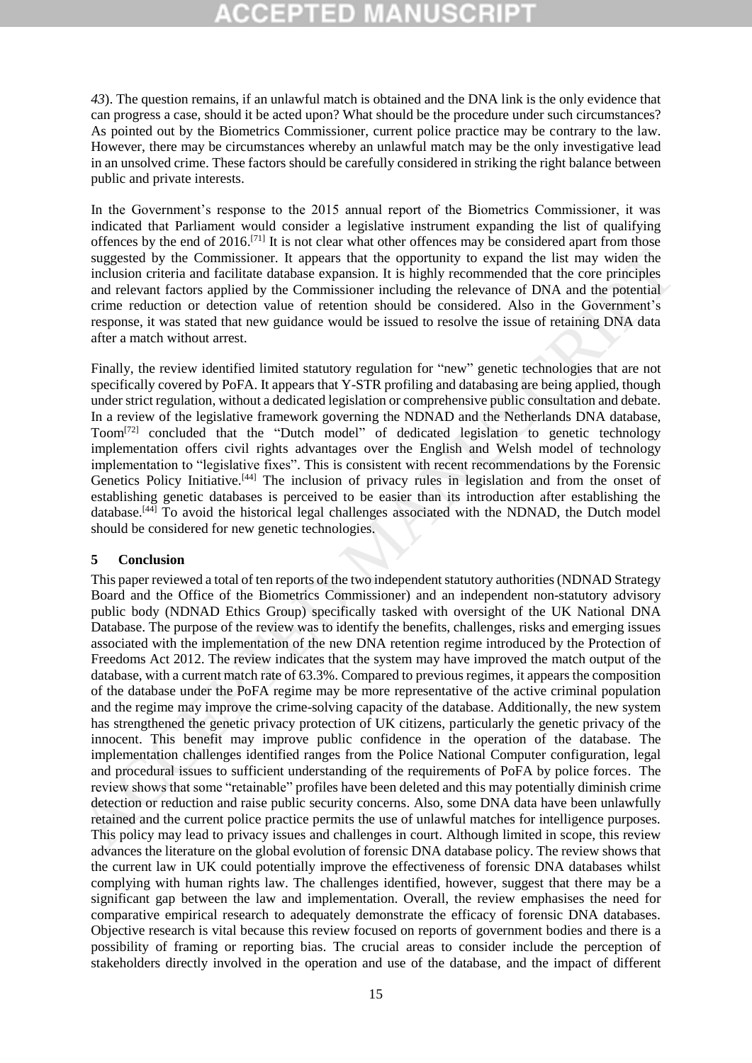*43*). The question remains, if an unlawful match is obtained and the DNA link is the only evidence that can progress a case, should it be acted upon? What should be the procedure under such circumstances? As pointed out by the Biometrics Commissioner, current police practice may be contrary to the law. However, there may be circumstances whereby an unlawful match may be the only investigative lead in an unsolved crime. These factors should be carefully considered in striking the right balance between public and private interests.

In the Government's response to the 2015 annual report of the Biometrics Commissioner, it was indicated that Parliament would consider a legislative instrument expanding the list of qualifying offences by the end of 2016.<sup>[71]</sup> It is not clear what other offences may be considered apart from those suggested by the Commissioner. It appears that the opportunity to expand the list may widen the inclusion criteria and facilitate database expansion. It is highly recommended that the core principles and relevant factors applied by the Commissioner including the relevance of DNA and the potential crime reduction or detection value of retention should be considered. Also in the Government's response, it was stated that new guidance would be issued to resolve the issue of retaining DNA data after a match without arrest.

Finally, the review identified limited statutory regulation for "new" genetic technologies that are not specifically covered by PoFA. It appears that Y-STR profiling and databasing are being applied, though under strict regulation, without a dedicated legislation or comprehensive public consultation and debate. In a review of the legislative framework governing the NDNAD and the Netherlands DNA database, Toom[72] concluded that the "Dutch model" of dedicated legislation to genetic technology implementation offers civil rights advantages over the English and Welsh model of technology implementation to "legislative fixes". This is consistent with recent recommendations by the Forensic Genetics Policy Initiative.<sup>[44]</sup> The inclusion of privacy rules in legislation and from the onset of establishing genetic databases is perceived to be easier than its introduction after establishing the database.<sup>[44]</sup> To avoid the historical legal challenges associated with the NDNAD, the Dutch model should be considered for new genetic technologies.

### **5 Conclusion**

This paper reviewed a total of ten reports of the two independent statutory authorities (NDNAD Strategy Board and the Office of the Biometrics Commissioner) and an independent non-statutory advisory public body (NDNAD Ethics Group) specifically tasked with oversight of the UK National DNA Database. The purpose of the review was to identify the benefits, challenges, risks and emerging issues associated with the implementation of the new DNA retention regime introduced by the Protection of Freedoms Act 2012. The review indicates that the system may have improved the match output of the database, with a current match rate of 63.3%. Compared to previous regimes, it appears the composition of the database under the PoFA regime may be more representative of the active criminal population and the regime may improve the crime-solving capacity of the database. Additionally, the new system has strengthened the genetic privacy protection of UK citizens, particularly the genetic privacy of the innocent. This benefit may improve public confidence in the operation of the database. The implementation challenges identified ranges from the Police National Computer configuration, legal and procedural issues to sufficient understanding of the requirements of PoFA by police forces. The review shows that some "retainable" profiles have been deleted and this may potentially diminish crime detection or reduction and raise public security concerns. Also, some DNA data have been unlawfully retained and the current police practice permits the use of unlawful matches for intelligence purposes. This policy may lead to privacy issues and challenges in court. Although limited in scope, this review advances the literature on the global evolution of forensic DNA database policy. The review shows that the current law in UK could potentially improve the effectiveness of forensic DNA databases whilst complying with human rights law. The challenges identified, however, suggest that there may be a significant gap between the law and implementation. Overall, the review emphasises the need for comparative empirical research to adequately demonstrate the efficacy of forensic DNA databases. Objective research is vital because this review focused on reports of government bodies and there is a possibility of framing or reporting bias. The crucial areas to consider include the perception of stakeholders directly involved in the operation and use of the database, and the impact of different suggested by the Commissioner. It appears that the opportunity to expand the list nany widen the star-<br>inclusion criteria and facilitate database expansion. It is highly recommended that the core principles<br>and relevant f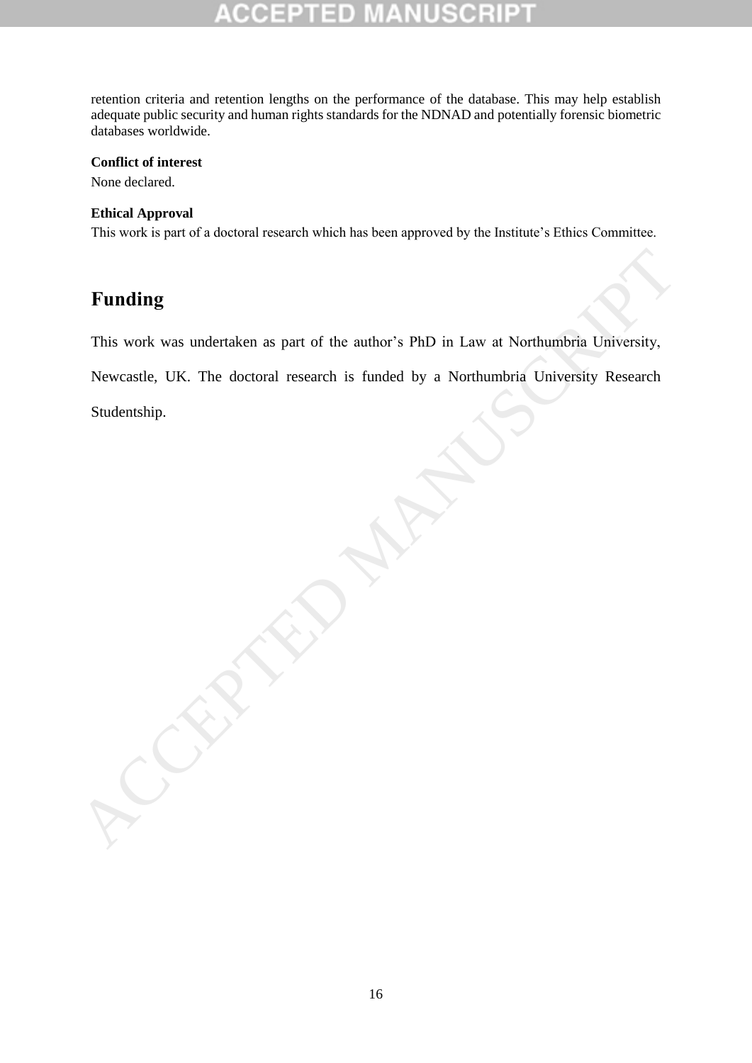retention criteria and retention lengths on the performance of the database. This may help establish adequate public security and human rights standards for the NDNAD and potentially forensic biometric databases worldwide.

### **Conflict of interest**

None declared.

### **Ethical Approval**

This work is part of a doctoral research which has been approved by the Institute's Ethics Committee.

# **Funding**

This work was undertaken as part of the author's PhD in Law at Northumbria University,

Newcastle, UK. The doctoral research is funded by a Northumbria University Research Funding<br>
This work was undertaken as part of the author's PhD in Law at Northumbria University,<br>
Newcastle, UK. The doctoral research is funded by a Northumbria University Research<br>
Studentship.<br>
Accepts the studentship.

Studentship.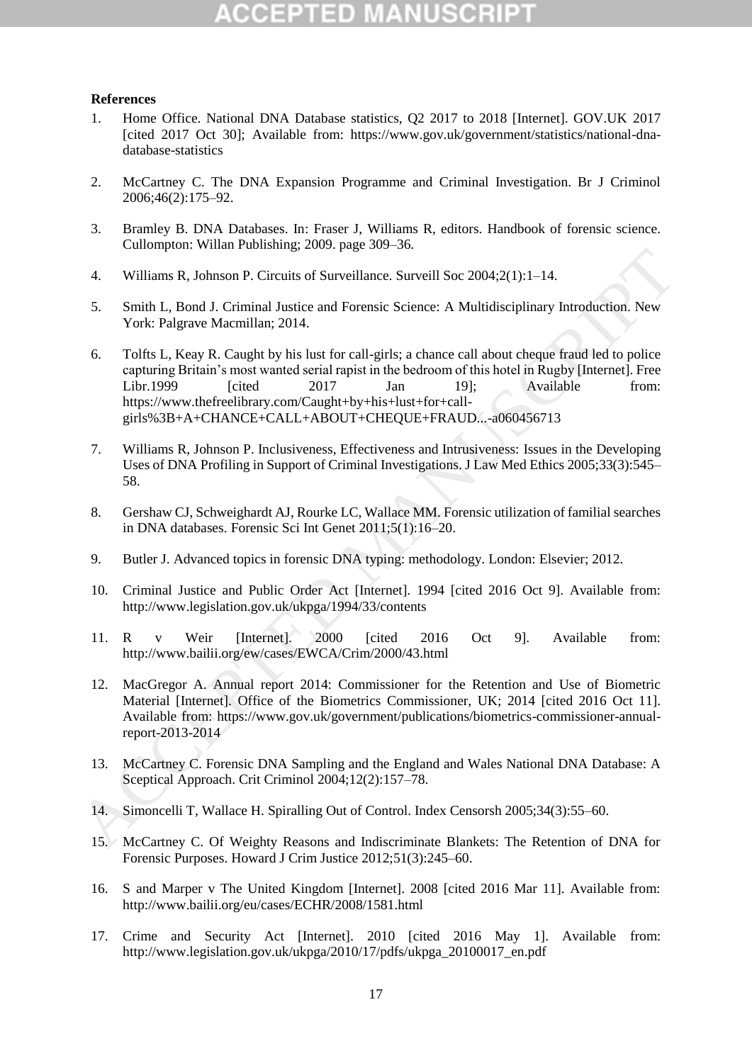# 3 D

### **References**

- 1. Home Office. National DNA Database statistics, Q2 2017 to 2018 [Internet]. GOV.UK 2017 [cited 2017 Oct 30]; Available from: https://www.gov.uk/government/statistics/national-dnadatabase-statistics
- 2. McCartney C. The DNA Expansion Programme and Criminal Investigation. Br J Criminol 2006;46(2):175–92.
- 3. Bramley B. DNA Databases. In: Fraser J, Williams R, editors. Handbook of forensic science. Cullompton: Willan Publishing; 2009. page 309–36.
- 4. Williams R, Johnson P. Circuits of Surveillance. Surveill Soc 2004;2(1):1–14.
- 5. Smith L, Bond J. Criminal Justice and Forensic Science: A Multidisciplinary Introduction. New York: Palgrave Macmillan; 2014.
- 6. Tolfts L, Keay R. Caught by his lust for call-girls; a chance call about cheque fraud led to police capturing Britain's most wanted serial rapist in the bedroom of this hotel in Rugby [Internet]. Free Libr.1999 [cited 2017 Jan 19]; Available from: https://www.thefreelibrary.com/Caught+by+his+lust+for+callgirls%3B+A+CHANCE+CALL+ABOUT+CHEQUE+FRAUD...-a060456713 4. Williams R, Johnson P. Circuits of Surveillance. Surveill Soc 2004;2(1):1-14.<br>
5. Smith L, Bond J. Criminal Justice and Forensic Science: A Multidisciplinary Introduction. New York: Palgrave Macmillan; 2014.<br>
6. Triffs
	- 7. Williams R, Johnson P. Inclusiveness, Effectiveness and Intrusiveness: Issues in the Developing Uses of DNA Profiling in Support of Criminal Investigations. J Law Med Ethics 2005;33(3):545– 58.
	- 8. Gershaw CJ, Schweighardt AJ, Rourke LC, Wallace MM. Forensic utilization of familial searches in DNA databases. Forensic Sci Int Genet 2011;5(1):16–20.
	- 9. Butler J. Advanced topics in forensic DNA typing: methodology. London: Elsevier; 2012.
	- 10. Criminal Justice and Public Order Act [Internet]. 1994 [cited 2016 Oct 9]. Available from: http://www.legislation.gov.uk/ukpga/1994/33/contents
	- 11. R v Weir [Internet]. 2000 [cited 2016 Oct 9]. Available from: http://www.bailii.org/ew/cases/EWCA/Crim/2000/43.html
	- 12. MacGregor A. Annual report 2014: Commissioner for the Retention and Use of Biometric Material [Internet]. Office of the Biometrics Commissioner, UK; 2014 [cited 2016 Oct 11]. Available from: https://www.gov.uk/government/publications/biometrics-commissioner-annualreport-2013-2014
	- 13. McCartney C. Forensic DNA Sampling and the England and Wales National DNA Database: A Sceptical Approach. Crit Criminol 2004;12(2):157–78.
	- 14. Simoncelli T, Wallace H. Spiralling Out of Control. Index Censorsh 2005;34(3):55–60.
	- 15. McCartney C. Of Weighty Reasons and Indiscriminate Blankets: The Retention of DNA for Forensic Purposes. Howard J Crim Justice 2012;51(3):245–60.
	- 16. S and Marper v The United Kingdom [Internet]. 2008 [cited 2016 Mar 11]. Available from: http://www.bailii.org/eu/cases/ECHR/2008/1581.html
	- 17. Crime and Security Act [Internet]. 2010 [cited 2016 May 1]. Available from: http://www.legislation.gov.uk/ukpga/2010/17/pdfs/ukpga\_20100017\_en.pdf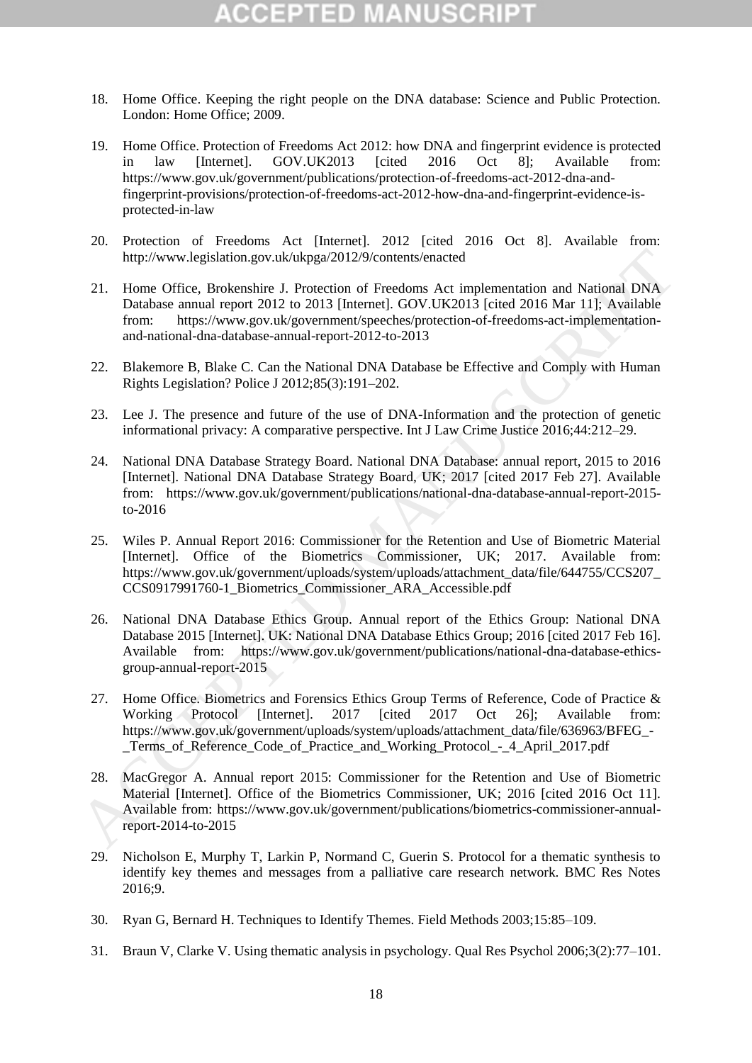# $\Box$  D

- 18. Home Office. Keeping the right people on the DNA database: Science and Public Protection. London: Home Office; 2009.
- 19. Home Office. Protection of Freedoms Act 2012: how DNA and fingerprint evidence is protected in law [Internet]. GOV.UK2013 [cited 2016 Oct 8]; Available from: https://www.gov.uk/government/publications/protection-of-freedoms-act-2012-dna-andfingerprint-provisions/protection-of-freedoms-act-2012-how-dna-and-fingerprint-evidence-isprotected-in-law
- 20. Protection of Freedoms Act [Internet]. 2012 [cited 2016 Oct 8]. Available from: http://www.legislation.gov.uk/ukpga/2012/9/contents/enacted
- 21. Home Office, Brokenshire J. Protection of Freedoms Act implementation and National DNA Database annual report 2012 to 2013 [Internet]. GOV.UK2013 [cited 2016 Mar 11]; Available from: https://www.gov.uk/government/speeches/protection-of-freedoms-act-implementationand-national-dna-database-annual-report-2012-to-2013
- 22. Blakemore B, Blake C. Can the National DNA Database be Effective and Comply with Human Rights Legislation? Police J 2012;85(3):191–202.
- 23. Lee J. The presence and future of the use of DNA-Information and the protection of genetic informational privacy: A comparative perspective. Int J Law Crime Justice 2016;44:212–29.
- 24. National DNA Database Strategy Board. National DNA Database: annual report, 2015 to 2016 [Internet]. National DNA Database Strategy Board, UK; 2017 [cited 2017 Feb 27]. Available from: https://www.gov.uk/government/publications/national-dna-database-annual-report-2015 to-2016
- 25. Wiles P. Annual Report 2016: Commissioner for the Retention and Use of Biometric Material [Internet]. Office of the Biometrics Commissioner, UK; 2017. Available from: https://www.gov.uk/government/uploads/system/uploads/attachment\_data/file/644755/CCS207\_ CCS0917991760-1\_Biometrics\_Commissioner\_ARA\_Accessible.pdf
- 26. National DNA Database Ethics Group. Annual report of the Ethics Group: National DNA Database 2015 [Internet]. UK: National DNA Database Ethics Group; 2016 [cited 2017 Feb 16]. Available from: https://www.gov.uk/government/publications/national-dna-database-ethicsgroup-annual-report-2015 http://www.legishalion.gov.uk/ukpga/2012/9/contents/entacted<br>
21. Home Office, Botkenshite J. Protection of Fredeoms Act implementation and National DNA<br>
Database annual report 2012 to 2013 [Internet], GOV.UK2013 [cied 201
	- 27. Home Office. Biometrics and Forensics Ethics Group Terms of Reference, Code of Practice & Working Protocol [Internet]. 2017 [cited 2017 Oct 26]; Available from: https://www.gov.uk/government/uploads/system/uploads/attachment\_data/file/636963/BFEG\_-Terms of Reference Code of Practice and Working Protocol - 4 April 2017.pdf
	- 28. MacGregor A. Annual report 2015: Commissioner for the Retention and Use of Biometric Material [Internet]. Office of the Biometrics Commissioner, UK; 2016 [cited 2016 Oct 11]. Available from: https://www.gov.uk/government/publications/biometrics-commissioner-annualreport-2014-to-2015
	- 29. Nicholson E, Murphy T, Larkin P, Normand C, Guerin S. Protocol for a thematic synthesis to identify key themes and messages from a palliative care research network. BMC Res Notes 2016;9.
	- 30. Ryan G, Bernard H. Techniques to Identify Themes. Field Methods 2003;15:85–109.
	- 31. Braun V, Clarke V. Using thematic analysis in psychology. Qual Res Psychol 2006;3(2):77–101.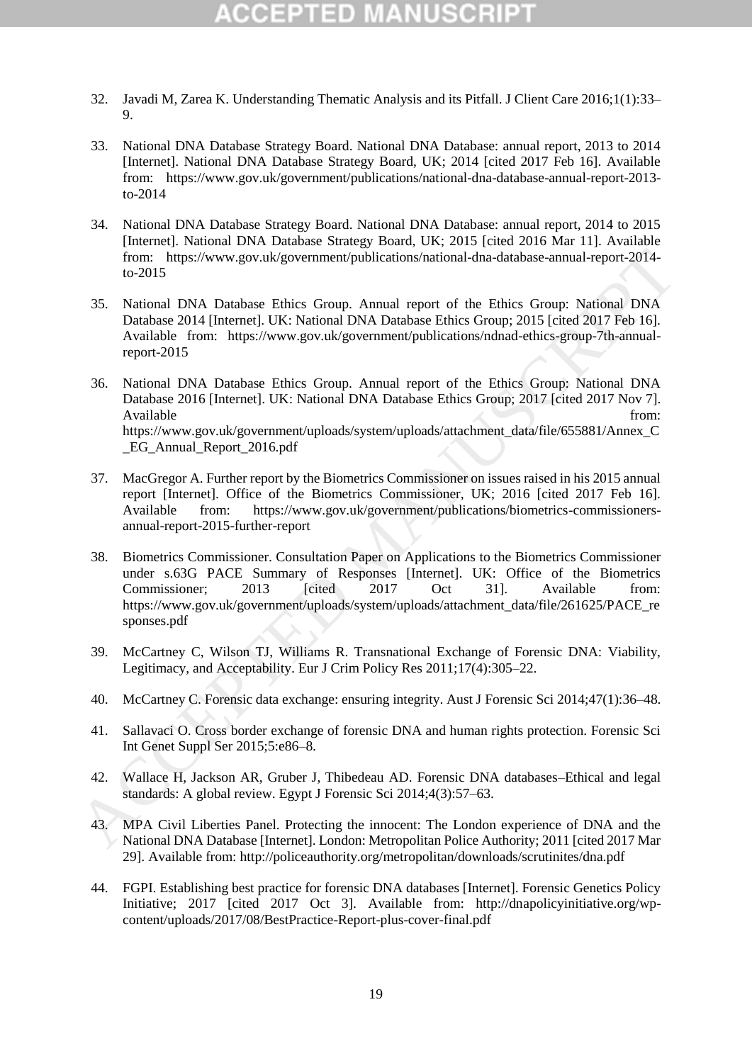- 32. Javadi M, Zarea K. Understanding Thematic Analysis and its Pitfall. J Client Care 2016;1(1):33– 9.
- 33. National DNA Database Strategy Board. National DNA Database: annual report, 2013 to 2014 [Internet]. National DNA Database Strategy Board, UK; 2014 [cited 2017 Feb 16]. Available from: https://www.gov.uk/government/publications/national-dna-database-annual-report-2013 to-2014
- 34. National DNA Database Strategy Board. National DNA Database: annual report, 2014 to 2015 [Internet]. National DNA Database Strategy Board, UK; 2015 [cited 2016 Mar 11]. Available from: https://www.gov.uk/government/publications/national-dna-database-annual-report-2014 to-2015
- 35. National DNA Database Ethics Group. Annual report of the Ethics Group: National DNA Database 2014 [Internet]. UK: National DNA Database Ethics Group; 2015 [cited 2017 Feb 16]. Available from: https://www.gov.uk/government/publications/ndnad-ethics-group-7th-annualreport-2015
- 36. National DNA Database Ethics Group. Annual report of the Ethics Group: National DNA Database 2016 [Internet]. UK: National DNA Database Ethics Group; 2017 [cited 2017 Nov 7]. Available from: the state of the state of the state of the state of the state of the state of the state of the state of the state of the state of the state of the state of the state of the state of the state of the state o https://www.gov.uk/government/uploads/system/uploads/attachment\_data/file/655881/Annex\_C \_EG\_Annual\_Report\_2016.pdf From: https://www.gov.uk/government/publications/national-dna-database-annual-report-2014<br>
35. National DNA Database Ethics Group. Annual report of the Ethics Group: National DNA<br>
2015 National DNA Database Ethics Group. A
	- 37. MacGregor A. Further report by the Biometrics Commissioner on issues raised in his 2015 annual report [Internet]. Office of the Biometrics Commissioner, UK; 2016 [cited 2017 Feb 16]. Available from: https://www.gov.uk/government/publications/biometrics-commissionersannual-report-2015-further-report
	- 38. Biometrics Commissioner. Consultation Paper on Applications to the Biometrics Commissioner under s.63G PACE Summary of Responses [Internet]. UK: Office of the Biometrics Commissioner: 2013 [cited 2017 Oct 31]. Available from: https://www.gov.uk/government/uploads/system/uploads/attachment\_data/file/261625/PACE\_re sponses.pdf
	- 39. McCartney C, Wilson TJ, Williams R. Transnational Exchange of Forensic DNA: Viability, Legitimacy, and Acceptability. Eur J Crim Policy Res 2011;17(4):305–22.
	- 40. McCartney C. Forensic data exchange: ensuring integrity. Aust J Forensic Sci 2014;47(1):36–48.
	- 41. Sallavaci O. Cross border exchange of forensic DNA and human rights protection. Forensic Sci Int Genet Suppl Ser 2015;5:e86–8.
	- 42. Wallace H, Jackson AR, Gruber J, Thibedeau AD. Forensic DNA databases–Ethical and legal standards: A global review. Egypt J Forensic Sci 2014;4(3):57–63.
	- 43. MPA Civil Liberties Panel. Protecting the innocent: The London experience of DNA and the National DNA Database [Internet]. London: Metropolitan Police Authority; 2011 [cited 2017 Mar 29]. Available from: http://policeauthority.org/metropolitan/downloads/scrutinites/dna.pdf
	- 44. FGPI. Establishing best practice for forensic DNA databases [Internet]. Forensic Genetics Policy Initiative; 2017 [cited 2017 Oct 3]. Available from: http://dnapolicyinitiative.org/wpcontent/uploads/2017/08/BestPractice-Report-plus-cover-final.pdf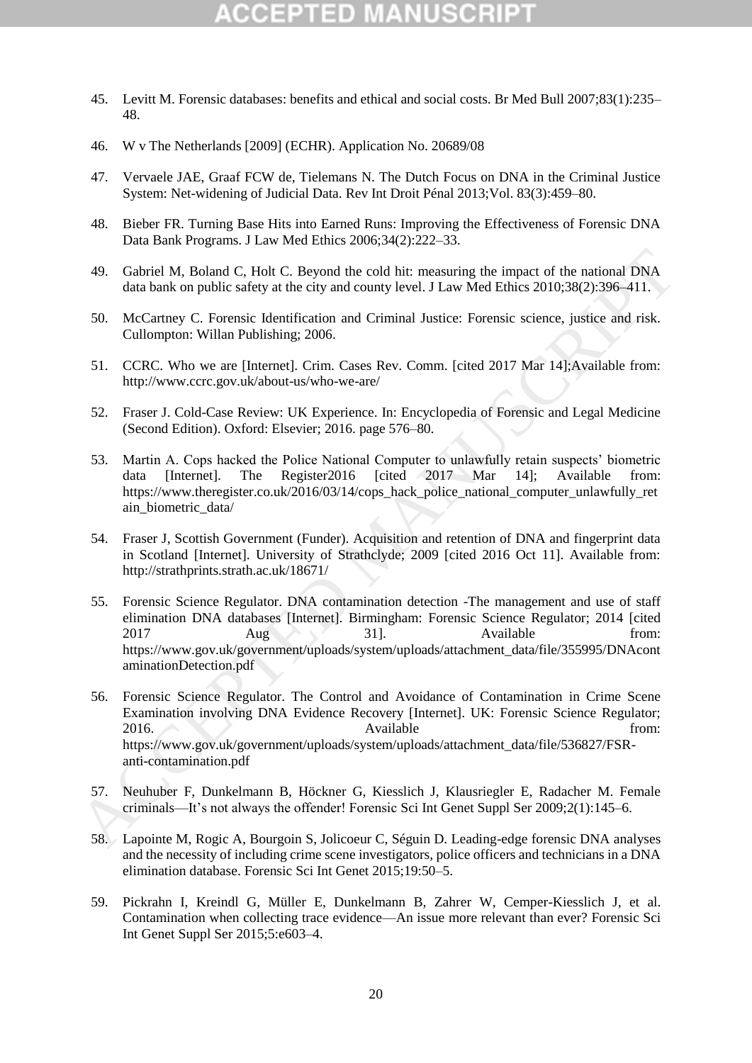- 45. Levitt M. Forensic databases: benefits and ethical and social costs. Br Med Bull 2007;83(1):235– 48.
- 46. W v The Netherlands [2009] (ECHR). Application No. 20689/08
- 47. Vervaele JAE, Graaf FCW de, Tielemans N. The Dutch Focus on DNA in the Criminal Justice System: Net-widening of Judicial Data. Rev Int Droit Pénal 2013;Vol. 83(3):459–80.
- 48. Bieber FR. Turning Base Hits into Earned Runs: Improving the Effectiveness of Forensic DNA Data Bank Programs. J Law Med Ethics 2006;34(2):222–33.
- 49. Gabriel M, Boland C, Holt C. Beyond the cold hit: measuring the impact of the national DNA data bank on public safety at the city and county level. J Law Med Ethics 2010;38(2):396–411.
- 50. McCartney C. Forensic Identification and Criminal Justice: Forensic science, justice and risk. Cullompton: Willan Publishing; 2006.
- 51. CCRC. Who we are [Internet]. Crim. Cases Rev. Comm. [cited 2017 Mar 14];Available from: http://www.ccrc.gov.uk/about-us/who-we-are/
- 52. Fraser J. Cold-Case Review: UK Experience. In: Encyclopedia of Forensic and Legal Medicine (Second Edition). Oxford: Elsevier; 2016. page 576–80.
- 53. Martin A. Cops hacked the Police National Computer to unlawfully retain suspects' biometric data [Internet]. The Register2016 [cited 2017 Mar 14]; Available from: https://www.theregister.co.uk/2016/03/14/cops\_hack\_police\_national\_computer\_unlawfully\_ret ain\_biometric\_data/
- 54. Fraser J, Scottish Government (Funder). Acquisition and retention of DNA and fingerprint data in Scotland [Internet]. University of Strathclyde; 2009 [cited 2016 Oct 11]. Available from: http://strathprints.strath.ac.uk/18671/
- 55. Forensic Science Regulator. DNA contamination detection -The management and use of staff elimination DNA databases [Internet]. Birmingham: Forensic Science Regulator; 2014 [cited 2017 Aug 31]. Available from: https://www.gov.uk/government/uploads/system/uploads/attachment\_data/file/355995/DNAcont aminationDetection.pdf 49. Gabriel M, Boland C, Holl C. Beyond the cold bit: measuring the impact of the national DNA<br>data bank on public safety at the city and county level. J.Law Med Ethics 2010;38(2):396-411.<br>
50. McCartrey C. Forcestic decr
	- 56. Forensic Science Regulator. The Control and Avoidance of Contamination in Crime Scene Examination involving DNA Evidence Recovery [Internet]. UK: Forensic Science Regulator; 2016. Available from: https://www.gov.uk/government/uploads/system/uploads/attachment\_data/file/536827/FSRanti-contamination.pdf
	- 57. Neuhuber F, Dunkelmann B, Höckner G, Kiesslich J, Klausriegler E, Radacher M. Female criminals—It's not always the offender! Forensic Sci Int Genet Suppl Ser 2009;2(1):145–6.
	- 58. Lapointe M, Rogic A, Bourgoin S, Jolicoeur C, Séguin D. Leading-edge forensic DNA analyses and the necessity of including crime scene investigators, police officers and technicians in a DNA elimination database. Forensic Sci Int Genet 2015;19:50–5.
	- 59. Pickrahn I, Kreindl G, Müller E, Dunkelmann B, Zahrer W, Cemper-Kiesslich J, et al. Contamination when collecting trace evidence—An issue more relevant than ever? Forensic Sci Int Genet Suppl Ser 2015;5:e603–4.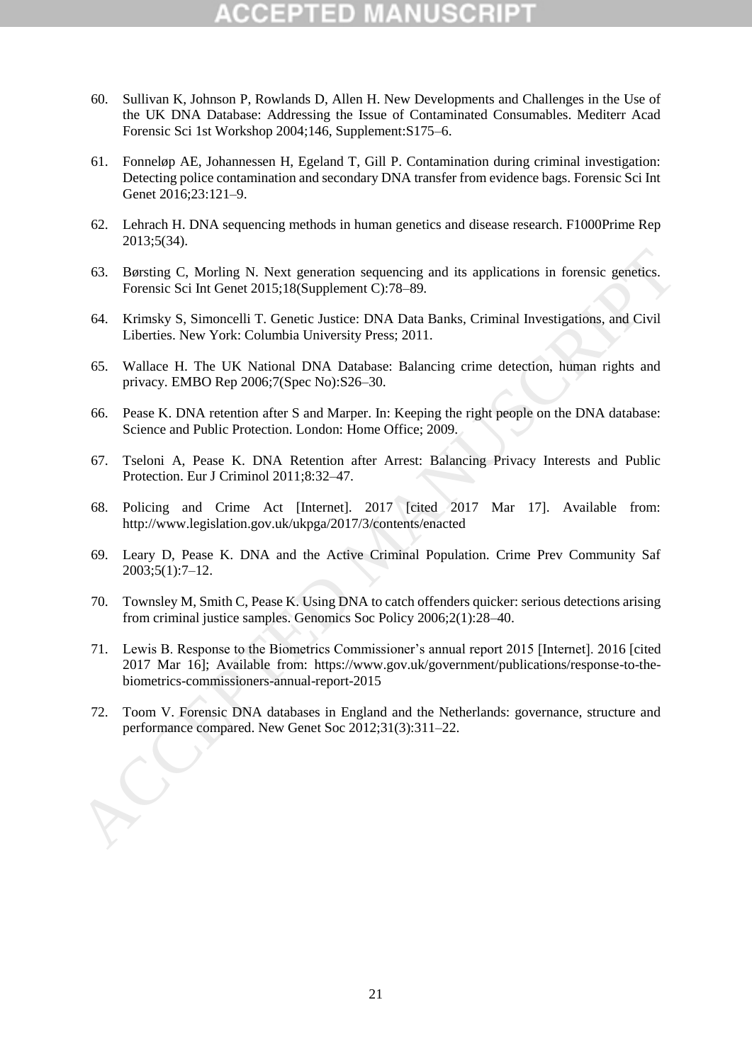- 60. Sullivan K, Johnson P, Rowlands D, Allen H. New Developments and Challenges in the Use of the UK DNA Database: Addressing the Issue of Contaminated Consumables. Mediterr Acad Forensic Sci 1st Workshop 2004;146, Supplement:S175–6.
- 61. Fonneløp AE, Johannessen H, Egeland T, Gill P. Contamination during criminal investigation: Detecting police contamination and secondary DNA transfer from evidence bags. Forensic Sci Int Genet 2016;23:121–9.
- 62. Lehrach H. DNA sequencing methods in human genetics and disease research. F1000Prime Rep 2013;5(34).
- 63. Børsting C, Morling N. Next generation sequencing and its applications in forensic genetics. Forensic Sci Int Genet 2015;18(Supplement C):78–89.
- 64. Krimsky S, Simoncelli T. Genetic Justice: DNA Data Banks, Criminal Investigations, and Civil Liberties. New York: Columbia University Press; 2011.
- 65. Wallace H. The UK National DNA Database: Balancing crime detection, human rights and privacy. EMBO Rep 2006;7(Spec No):S26–30.
- 66. Pease K. DNA retention after S and Marper. In: Keeping the right people on the DNA database: Science and Public Protection. London: Home Office; 2009.
- 67. Tseloni A, Pease K. DNA Retention after Arrest: Balancing Privacy Interests and Public Protection. Eur J Criminol 2011;8:32–47.
- 68. Policing and Crime Act [Internet]. 2017 [cited 2017 Mar 17]. Available from: http://www.legislation.gov.uk/ukpga/2017/3/contents/enacted
- 69. Leary D, Pease K. DNA and the Active Criminal Population. Crime Prev Community Saf 2003;5(1):7–12.
- 70. Townsley M, Smith C, Pease K. Using DNA to catch offenders quicker: serious detections arising from criminal justice samples. Genomics Soc Policy 2006;2(1):28–40.
- 71. Lewis B. Response to the Biometrics Commissioner's annual report 2015 [Internet]. 2016 [cited 2017 Mar 16]; Available from: https://www.gov.uk/government/publications/response-to-thebiometrics-commissioners-annual-report-2015 63. Børsting C, Morling N. Next generation sequencing and its applications in forensic genetics.<br>Forensic Sci Int Genet 2015:18(Supplement C):78-89.<br>64. Kimnist Investigations, and Civil Liberties. New York: Columbia Univ
	- 72. Toom V. Forensic DNA databases in England and the Netherlands: governance, structure and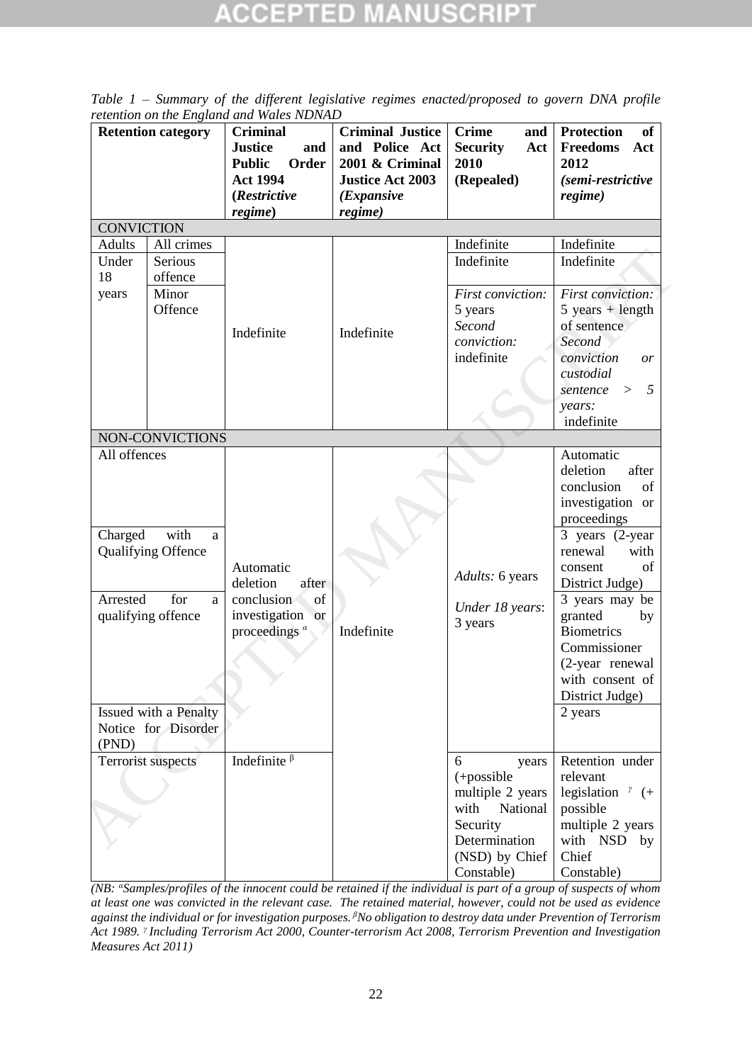| <b>Retention category</b> |                           | <b>Criminal</b><br><b>Justice</b><br>and<br>Order<br><b>Public</b><br><b>Act 1994</b><br>(Restrictive<br>regime) | <b>Criminal Justice</b><br>and Police Act<br>2001 & Criminal<br><b>Justice Act 2003</b><br>( <i>Expansive</i><br>regime) | <b>Crime</b><br>and<br>Act<br><b>Security</b><br>2010<br>(Repealed) | <b>of</b><br>Protection<br>Freedoms<br>Act<br>2012<br>(semi-restrictive<br>regime) |
|---------------------------|---------------------------|------------------------------------------------------------------------------------------------------------------|--------------------------------------------------------------------------------------------------------------------------|---------------------------------------------------------------------|------------------------------------------------------------------------------------|
| <b>CONVICTION</b>         |                           |                                                                                                                  |                                                                                                                          |                                                                     |                                                                                    |
| <b>Adults</b>             | All crimes                |                                                                                                                  |                                                                                                                          | Indefinite                                                          | Indefinite                                                                         |
|                           | Serious                   |                                                                                                                  |                                                                                                                          |                                                                     |                                                                                    |
| Under                     |                           |                                                                                                                  |                                                                                                                          | Indefinite                                                          | Indefinite                                                                         |
| 18                        | offence                   |                                                                                                                  |                                                                                                                          |                                                                     |                                                                                    |
| years                     | Minor                     |                                                                                                                  |                                                                                                                          | First conviction:                                                   | <b>First conviction:</b>                                                           |
|                           | Offence                   |                                                                                                                  |                                                                                                                          | 5 years                                                             | $5 \text{ years} + \text{length}$                                                  |
|                           |                           | Indefinite                                                                                                       | Indefinite                                                                                                               | Second                                                              | of sentence                                                                        |
|                           |                           |                                                                                                                  |                                                                                                                          | conviction:                                                         | Second                                                                             |
|                           |                           |                                                                                                                  |                                                                                                                          | indefinite                                                          | conviction<br>or                                                                   |
|                           |                           |                                                                                                                  |                                                                                                                          |                                                                     | custodial                                                                          |
|                           |                           |                                                                                                                  |                                                                                                                          |                                                                     | 5<br>sentence >                                                                    |
|                           |                           |                                                                                                                  |                                                                                                                          |                                                                     | years:                                                                             |
|                           |                           |                                                                                                                  |                                                                                                                          |                                                                     | indefinite                                                                         |
|                           | NON-CONVICTIONS           |                                                                                                                  |                                                                                                                          |                                                                     |                                                                                    |
| All offences              |                           |                                                                                                                  |                                                                                                                          |                                                                     | Automatic                                                                          |
|                           |                           |                                                                                                                  |                                                                                                                          |                                                                     | deletion<br>after                                                                  |
|                           |                           |                                                                                                                  |                                                                                                                          |                                                                     | conclusion<br>of                                                                   |
|                           |                           |                                                                                                                  |                                                                                                                          |                                                                     | investigation or                                                                   |
|                           |                           |                                                                                                                  |                                                                                                                          |                                                                     |                                                                                    |
|                           | with                      |                                                                                                                  |                                                                                                                          |                                                                     | proceedings                                                                        |
| Charged                   | a                         |                                                                                                                  |                                                                                                                          |                                                                     | 3 years (2-year)                                                                   |
|                           | <b>Qualifying Offence</b> |                                                                                                                  |                                                                                                                          |                                                                     | with<br>renewal                                                                    |
|                           |                           | Automatic                                                                                                        |                                                                                                                          | Adults: 6 years                                                     | of<br>consent                                                                      |
|                           |                           | deletion<br>after                                                                                                |                                                                                                                          |                                                                     | District Judge)                                                                    |
| Arrested                  | for<br>a                  | of<br>conclusion                                                                                                 |                                                                                                                          | Under 18 years:                                                     | 3 years may be                                                                     |
| qualifying offence        |                           | investigation or<br>proceedings $\alpha$                                                                         | Indefinite                                                                                                               | 3 years                                                             | granted<br>by                                                                      |
|                           |                           |                                                                                                                  |                                                                                                                          |                                                                     | <b>Biometrics</b>                                                                  |
|                           |                           |                                                                                                                  |                                                                                                                          |                                                                     | Commissioner                                                                       |
|                           |                           |                                                                                                                  |                                                                                                                          |                                                                     | (2-year renewal                                                                    |
|                           |                           |                                                                                                                  |                                                                                                                          |                                                                     | with consent of                                                                    |
|                           |                           |                                                                                                                  |                                                                                                                          |                                                                     | District Judge)                                                                    |
|                           | Issued with a Penalty     |                                                                                                                  |                                                                                                                          |                                                                     | 2 years                                                                            |
|                           | Notice for Disorder       |                                                                                                                  |                                                                                                                          |                                                                     |                                                                                    |
| (PND)                     |                           |                                                                                                                  |                                                                                                                          |                                                                     |                                                                                    |
|                           | <b>Terrorist suspects</b> | Indefinite $\beta$                                                                                               |                                                                                                                          | 6<br>years                                                          | Retention under                                                                    |
|                           |                           |                                                                                                                  |                                                                                                                          | $(+$ possible                                                       | relevant                                                                           |
|                           |                           |                                                                                                                  |                                                                                                                          | multiple 2 years                                                    | legislation $\gamma$ (+                                                            |
|                           |                           |                                                                                                                  |                                                                                                                          | with<br>National                                                    | possible                                                                           |
|                           |                           |                                                                                                                  |                                                                                                                          | Security                                                            | multiple 2 years                                                                   |
|                           |                           |                                                                                                                  |                                                                                                                          |                                                                     |                                                                                    |
|                           |                           |                                                                                                                  |                                                                                                                          | Determination                                                       | with NSD by                                                                        |
|                           |                           |                                                                                                                  |                                                                                                                          | (NSD) by Chief                                                      | Chief                                                                              |
|                           |                           |                                                                                                                  |                                                                                                                          | Constable)                                                          | Constable)                                                                         |

*Table 1 – Summary of the different legislative regimes enacted/proposed to govern DNA profile retention on the England and Wales NDNAD*

*(NB: <sup>α</sup>Samples/profiles of the innocent could be retained if the individual is part of a group of suspects of whom at least one was convicted in the relevant case. The retained material, however, could not be used as evidence against the individual or for investigation purposes. <sup>β</sup>No obligation to destroy data under Prevention of Terrorism Act 1989. <sup>γ</sup>Including Terrorism Act 2000, Counter-terrorism Act 2008, Terrorism Prevention and Investigation Measures Act 2011)*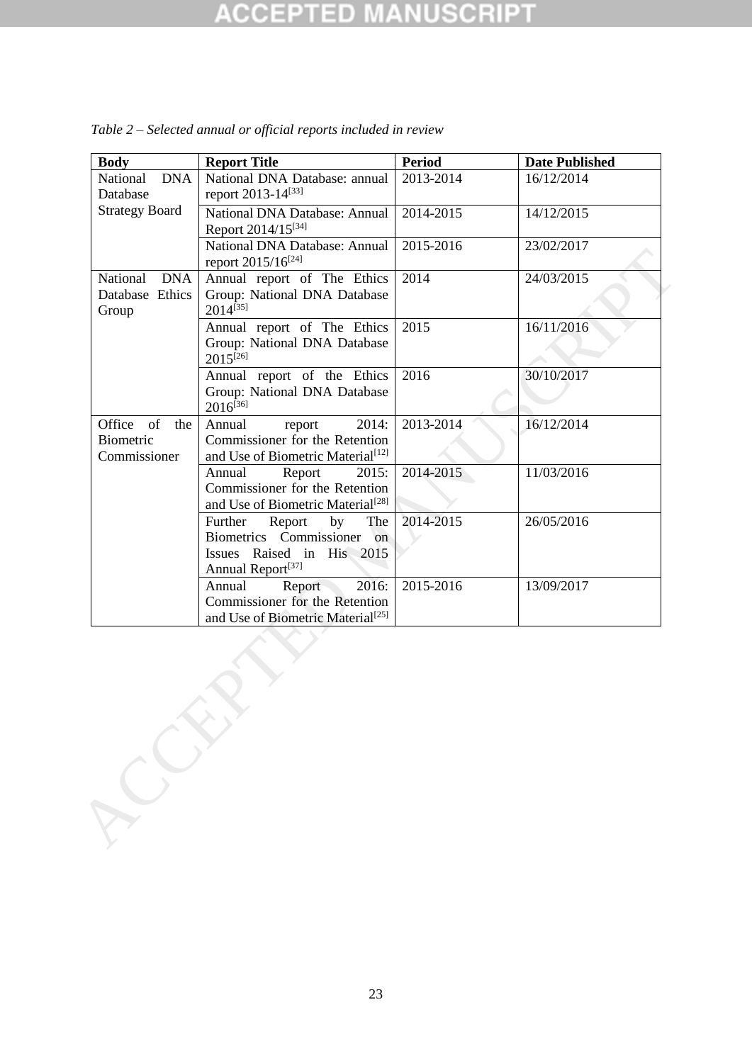#### **NUSCRIPT CCEPTED**

| <b>Body</b>                                        | <b>Report Title</b>                                                                                                        | <b>Period</b> | <b>Date Published</b> |
|----------------------------------------------------|----------------------------------------------------------------------------------------------------------------------------|---------------|-----------------------|
| <b>DNA</b><br>National<br>Database                 | National DNA Database: annual<br>report 2013-14[33]                                                                        | 2013-2014     | 16/12/2014            |
| <b>Strategy Board</b>                              | National DNA Database: Annual<br>Report 2014/15[34]                                                                        | 2014-2015     | 14/12/2015            |
|                                                    | National DNA Database: Annual<br>report 2015/16 <sup>[24]</sup>                                                            | 2015-2016     | 23/02/2017            |
| National<br><b>DNA</b><br>Database Ethics<br>Group | Annual report of The Ethics<br>Group: National DNA Database<br>2014 <sup>[35]</sup>                                        | 2014          | 24/03/2015            |
|                                                    | Annual report of The Ethics<br>Group: National DNA Database<br>$2015^{[26]}$                                               | 2015          | 16/11/2016            |
|                                                    | Annual report of the Ethics<br>Group: National DNA Database<br>$2016^{[36]}$                                               | 2016          | 30/10/2017            |
| Office of<br>the<br>Biometric<br>Commissioner      | Annual<br>2014:<br>report<br>Commissioner for the Retention<br>and Use of Biometric Material <sup>[12]</sup>               | 2013-2014     | 16/12/2014            |
|                                                    | Annual<br>Report<br>2015:<br>Commissioner for the Retention<br>and Use of Biometric Material <sup>[28]</sup>               | 2014-2015     | 11/03/2016            |
|                                                    | Further<br>Report<br>by<br>The<br>Biometrics Commissioner on<br>Issues Raised in His 2015<br>Annual Report <sup>[37]</sup> | 2014-2015     | 26/05/2016            |
|                                                    | 2016:<br>Report<br>Annual<br>Commissioner for the Retention<br>and Use of Biometric Material <sup>[25]</sup>               | 2015-2016     | 13/09/2017            |

*Table 2 – Selected annual or official reports included in review*